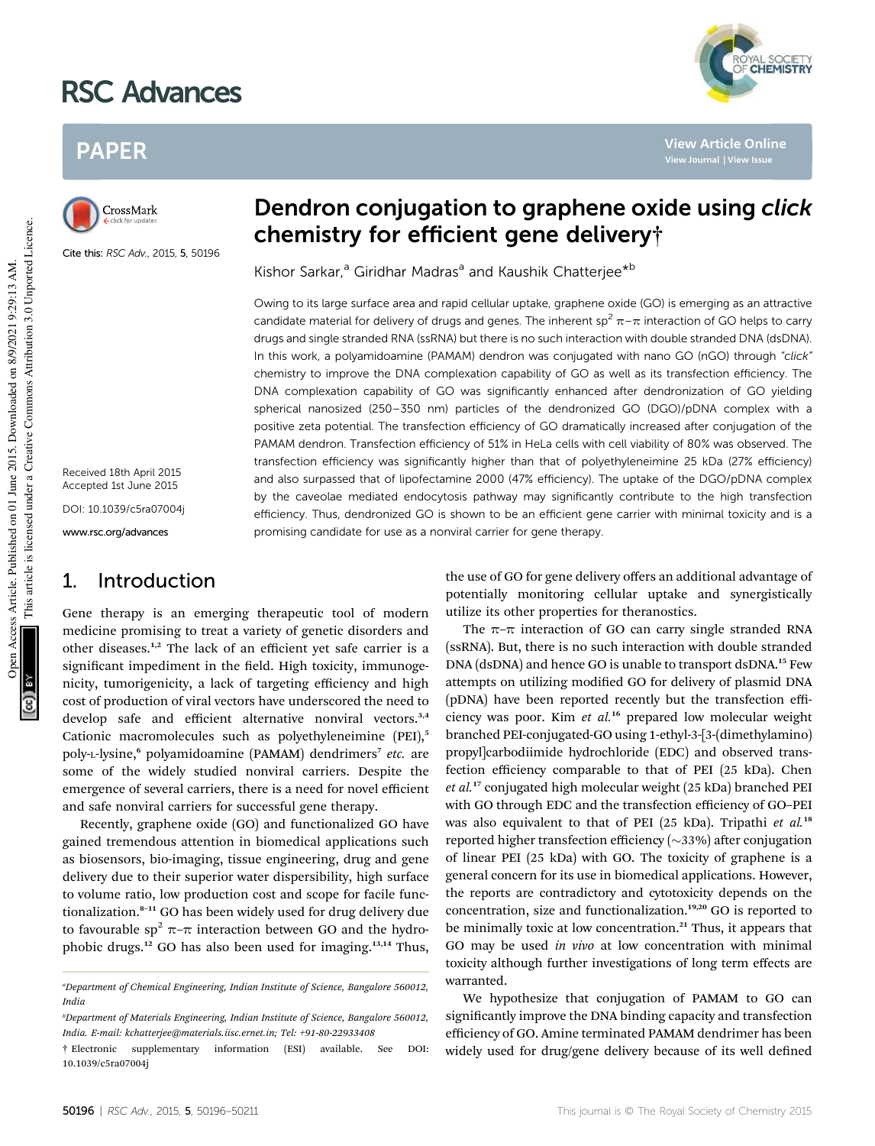# RSC Advances

# PAPER

CrossMark

Cite this: RSC Adv., 2015, 5, 50196

Received 18th April 2015 Accepted 1st June 2015

DOI: 10.1039/c5ra07004j

www.rsc.org/advances

# 1. Introduction

Gene therapy is an emerging therapeutic tool of modern medicine promising to treat a variety of genetic disorders and other diseases.<sup>1,2</sup> The lack of an efficient yet safe carrier is a significant impediment in the field. High toxicity, immunogenicity, tumorigenicity, a lack of targeting efficiency and high cost of production of viral vectors have underscored the need to develop safe and efficient alternative nonviral vectors.<sup>3,4</sup> Cationic macromolecules such as polyethyleneimine (PEI),<sup>5</sup> poly-L-lysine,<sup>6</sup> polyamidoamine (PAMAM) dendrimers<sup>7</sup> etc. are some of the widely studied nonviral carriers. Despite the emergence of several carriers, there is a need for novel efficient and safe nonviral carriers for successful gene therapy.

Recently, graphene oxide (GO) and functionalized GO have gained tremendous attention in biomedical applications such as biosensors, bio-imaging, tissue engineering, drug and gene delivery due to their superior water dispersibility, high surface to volume ratio, low production cost and scope for facile functionalization.<sup>8-11</sup> GO has been widely used for drug delivery due to favourable sp<sup>2</sup>  $\pi$ – $\pi$  interaction between GO and the hydrophobic drugs.<sup>12</sup> GO has also been used for imaging.13,14 Thus,

# Dendron conjugation to graphene oxide using click chemistry for efficient gene delivery†

Kishor Sarkar,<sup>a</sup> Giridhar Madras<sup>a</sup> and Kaushik Chatterjee<sup>\*b</sup>

Owing to its large surface area and rapid cellular uptake, graphene oxide (GO) is emerging as an attractive candidate material for delivery of drugs and genes. The inherent sp<sup>2</sup>  $\pi-\pi$  interaction of GO helps to carry drugs and single stranded RNA (ssRNA) but there is no such interaction with double stranded DNA (dsDNA). In this work, a polyamidoamine (PAMAM) dendron was conjugated with nano GO (nGO) through "click' chemistry to improve the DNA complexation capability of GO as well as its transfection efficiency. The DNA complexation capability of GO was significantly enhanced after dendronization of GO yielding spherical nanosized (250–350 nm) particles of the dendronized GO (DGO)/pDNA complex with a positive zeta potential. The transfection efficiency of GO dramatically increased after conjugation of the PAMAM dendron. Transfection efficiency of 51% in HeLa cells with cell viability of 80% was observed. The transfection efficiency was significantly higher than that of polyethyleneimine 25 kDa (27% efficiency) and also surpassed that of lipofectamine 2000 (47% efficiency). The uptake of the DGO/pDNA complex by the caveolae mediated endocytosis pathway may significantly contribute to the high transfection efficiency. Thus, dendronized GO is shown to be an efficient gene carrier with minimal toxicity and is a promising candidate for use as a nonviral carrier for gene therapy.

> the use of GO for gene delivery offers an additional advantage of potentially monitoring cellular uptake and synergistically utilize its other properties for theranostics.

> The  $\pi$ – $\pi$  interaction of GO can carry single stranded RNA (ssRNA). But, there is no such interaction with double stranded DNA (dsDNA) and hence GO is unable to transport dsDNA.<sup>15</sup> Few attempts on utilizing modified GO for delivery of plasmid DNA (pDNA) have been reported recently but the transfection efficiency was poor. Kim *et al.*<sup>16</sup> prepared low molecular weight branched PEI-conjugated-GO using 1-ethyl-3-[3-(dimethylamino) propyl]carbodiimide hydrochloride (EDC) and observed transfection efficiency comparable to that of PEI (25 kDa). Chen *et al.*<sup>17</sup> conjugated high molecular weight (25 kDa) branched PEI with GO through EDC and the transfection efficiency of GO–PEI was also equivalent to that of PEI (25 kDa). Tripathi *et al.*<sup>18</sup> reported higher transfection efficiency  $(\sim 33\%)$  after conjugation of linear PEI (25 kDa) with GO. The toxicity of graphene is a general concern for its use in biomedical applications. However, the reports are contradictory and cytotoxicity depends on the concentration, size and functionalization.19,20 GO is reported to be minimally toxic at low concentration.<sup>21</sup> Thus, it appears that GO may be used *in vivo* at low concentration with minimal toxicity although further investigations of long term effects are warranted.

> We hypothesize that conjugation of PAMAM to GO can significantly improve the DNA binding capacity and transfection efficiency of GO. Amine terminated PAMAM dendrimer has been widely used for drug/gene delivery because of its well defined

**View Article Online View Journal | View Issue**

*<sup>a</sup>Department of Chemical Engineering, Indian Institute of Science, Bangalore 560012, India*

*<sup>b</sup>Department of Materials Engineering, Indian Institute of Science, Bangalore 560012, India. E-mail: kchatterjee@materials.iisc.ernet.in; Tel: +91-80-22933408*

<sup>†</sup> Electronic supplementary information (ESI) available. See DOI: 10.1039/c5ra07004j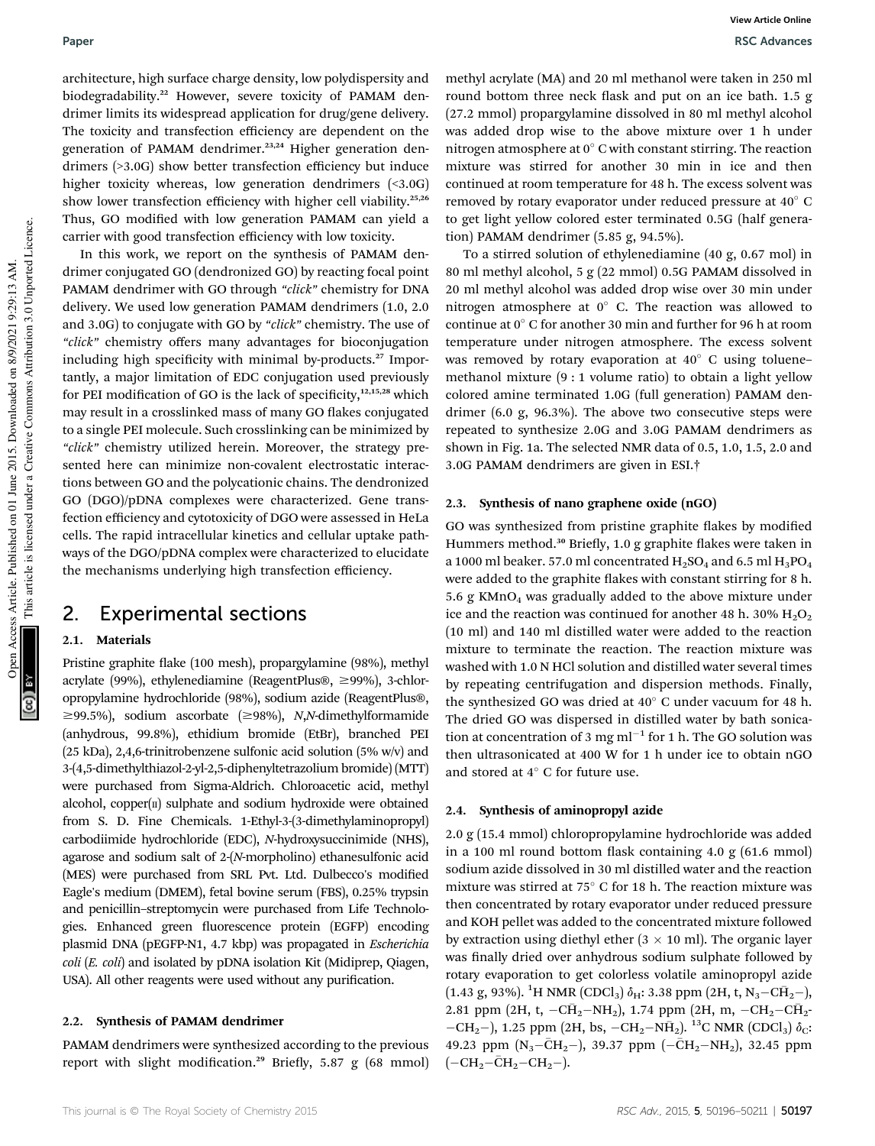architecture, high surface charge density, low polydispersity and biodegradability.<sup>22</sup> However, severe toxicity of PAMAM dendrimer limits its widespread application for drug/gene delivery. The toxicity and transfection efficiency are dependent on the generation of PAMAM dendrimer.<sup>23,24</sup> Higher generation dendrimers (>3.0G) show better transfection efficiency but induce higher toxicity whereas, low generation dendrimers (<3.0G) show lower transfection efficiency with higher cell viability.<sup>25,26</sup> Thus, GO modified with low generation PAMAM can yield a carrier with good transfection efficiency with low toxicity.

In this work, we report on the synthesis of PAMAM dendrimer conjugated GO (dendronized GO) by reacting focal point PAMAM dendrimer with GO through "*click*" chemistry for DNA delivery. We used low generation PAMAM dendrimers (1.0, 2.0 and 3.0G) to conjugate with GO by "*click*" chemistry. The use of "*click*" chemistry offers many advantages for bioconjugation including high specificity with minimal by-products.<sup>27</sup> Importantly, a major limitation of EDC conjugation used previously for PEI modification of GO is the lack of specificity,<sup>12,15,28</sup> which may result in a crosslinked mass of many GO flakes conjugated to a single PEI molecule. Such crosslinking can be minimized by "*click*" chemistry utilized herein. Moreover, the strategy presented here can minimize non-covalent electrostatic interactions between GO and the polycationic chains. The dendronized GO (DGO)/pDNA complexes were characterized. Gene transfection efficiency and cytotoxicity of DGO were assessed in HeLa cells. The rapid intracellular kinetics and cellular uptake pathways of the DGO/pDNA complex were characterized to elucidate the mechanisms underlying high transfection efficiency.

## 2. Experimental sections

### 2.1. Materials

Pristine graphite flake (100 mesh), propargylamine (98%), methyl acrylate (99%), ethylenediamine (ReagentPlus®,  $\geq$ 99%), 3-chloropropylamine hydrochloride (98%), sodium azide (ReagentPlus®,  $\geq$ 99.5%), sodium ascorbate ( $\geq$ 98%), *N*,*N*-dimethylformamide (anhydrous, 99.8%), ethidium bromide (EtBr), branched PEI (25 kDa), 2,4,6-trinitrobenzene sulfonic acid solution (5% w/v) and 3-(4,5-dimethylthiazol-2-yl-2,5-diphenyltetrazolium bromide) (MTT) were purchased from Sigma-Aldrich. Chloroacetic acid, methyl alcohol, copper $(\pi)$  sulphate and sodium hydroxide were obtained from S. D. Fine Chemicals. 1-Ethyl-3-(3-dimethylaminopropyl) carbodiimide hydrochloride (EDC), *N*-hydroxysuccinimide (NHS), agarose and sodium salt of 2-(*N*-morpholino) ethanesulfonic acid (MES) were purchased from SRL Pvt. Ltd. Dulbecco's modified Eagle's medium (DMEM), fetal bovine serum (FBS), 0.25% trypsin and penicillin–streptomycin were purchased from Life Technologies. Enhanced green fluorescence protein (EGFP) encoding plasmid DNA (pEGFP-N1, 4.7 kbp) was propagated in *Escherichia coli* (*E. coli*) and isolated by pDNA isolation Kit (Midiprep, Qiagen, USA). All other reagents were used without any purification.

### 2.2. Synthesis of PAMAM dendrimer

PAMAM dendrimers were synthesized according to the previous report with slight modification.<sup>29</sup> Briefly, 5.87 g (68 mmol) methyl acrylate (MA) and 20 ml methanol were taken in 250 ml round bottom three neck flask and put on an ice bath. 1.5 g (27.2 mmol) propargylamine dissolved in 80 ml methyl alcohol was added drop wise to the above mixture over 1 h under nitrogen atmosphere at  $0^{\circ}$  C with constant stirring. The reaction mixture was stirred for another 30 min in ice and then continued at room temperature for 48 h. The excess solvent was removed by rotary evaporator under reduced pressure at  $40^{\circ}$  C to get light yellow colored ester terminated 0.5G (half generation) PAMAM dendrimer (5.85 g, 94.5%).

To a stirred solution of ethylenediamine (40 g, 0.67 mol) in 80 ml methyl alcohol, 5 g (22 mmol) 0.5G PAMAM dissolved in 20 ml methyl alcohol was added drop wise over 30 min under nitrogen atmosphere at  $0^{\circ}$  C. The reaction was allowed to continue at  $0^{\circ}$  C for another 30 min and further for 96 h at room temperature under nitrogen atmosphere. The excess solvent was removed by rotary evaporation at  $40^{\circ}$  C using toluenemethanol mixture (9 : 1 volume ratio) to obtain a light yellow colored amine terminated 1.0G (full generation) PAMAM dendrimer (6.0 g, 96.3%). The above two consecutive steps were repeated to synthesize 2.0G and 3.0G PAMAM dendrimers as shown in Fig. 1a. The selected NMR data of 0.5, 1.0, 1.5, 2.0 and 3.0G PAMAM dendrimers are given in ESI.†

### 2.3. Synthesis of nano graphene oxide (nGO)

GO was synthesized from pristine graphite flakes by modified Hummers method.<sup>30</sup> Briefly, 1.0 g graphite flakes were taken in a 1000 ml beaker. 57.0 ml concentrated  $H_2SO_4$  and 6.5 ml  $H_3PO_4$ were added to the graphite flakes with constant stirring for 8 h. 5.6 g KMnO<sub>4</sub> was gradually added to the above mixture under ice and the reaction was continued for another 48 h. 30%  $H_2O_2$ (10 ml) and 140 ml distilled water were added to the reaction mixture to terminate the reaction. The reaction mixture was washed with 1.0 N HCl solution and distilled water several times by repeating centrifugation and dispersion methods. Finally, the synthesized GO was dried at 40° C under vacuum for 48 h. The dried GO was dispersed in distilled water by bath sonication at concentration of 3 mg  $ml^{-1}$  for 1 h. The GO solution was then ultrasonicated at 400 W for 1 h under ice to obtain nGO and stored at  $4^\circ$  C for future use.

### 2.4. Synthesis of aminopropyl azide

2.0 g (15.4 mmol) chloropropylamine hydrochloride was added in a 100 ml round bottom flask containing  $4.0 \text{ g}$  (61.6 mmol) sodium azide dissolved in 30 ml distilled water and the reaction mixture was stirred at 75 $^{\circ}$  C for 18 h. The reaction mixture was then concentrated by rotary evaporator under reduced pressure and KOH pellet was added to the concentrated mixture followed by extraction using diethyl ether  $(3 \times 10 \text{ ml})$ . The organic layer was finally dried over anhydrous sodium sulphate followed by rotary evaporation to get colorless volatile aminopropyl azide  $(1.43 \text{ g}, 93\%)$ . <sup>1</sup>H NMR  $(CDCl_3) \delta_H$ : 3.38 ppm  $(2H, t, N_3 - C\overline{H}_2)$ , 2.81 ppm (2H, t,  $-C\bar{H}_2-NH_2$ ), 1.74 ppm (2H, m,  $-CH_2-C\bar{H}_2$ - $-CH_2$ , 1.25 ppm (2H, bs,  $-CH_2-N\bar{H}_2$ ). <sup>13</sup>C NMR (CDCl<sub>3</sub>)  $\delta_C$ : 49.23 ppm  $(N_3-\bar{C}H_2-), 39.37$  ppm  $(-\bar{C}H_2-NH_2), 32.45$  ppm  $(-CH_2-\bar{CH}_2-CH_2-).$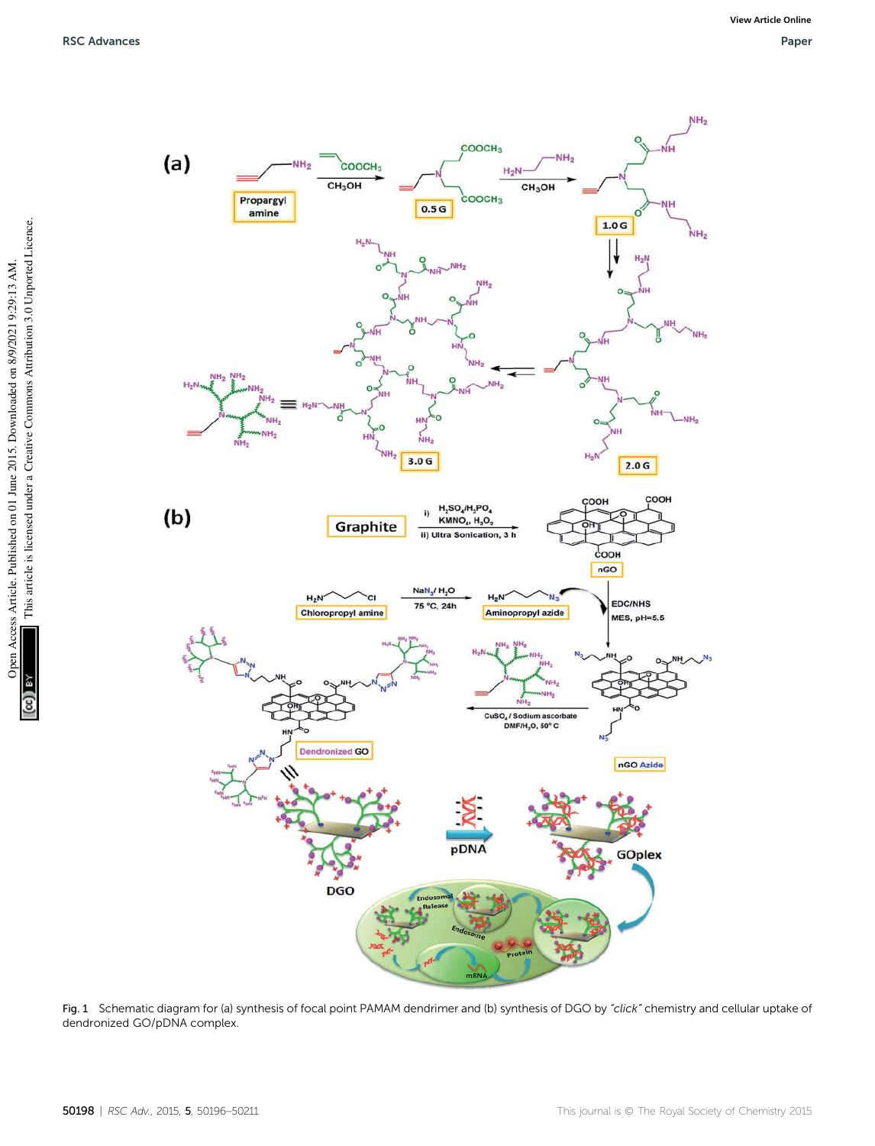

Fig. 1 Schematic diagram for (a) synthesis of focal point PAMAM dendrimer and (b) synthesis of DGO by "click" chemistry and cellular uptake of dendronized GO/pDNA complex.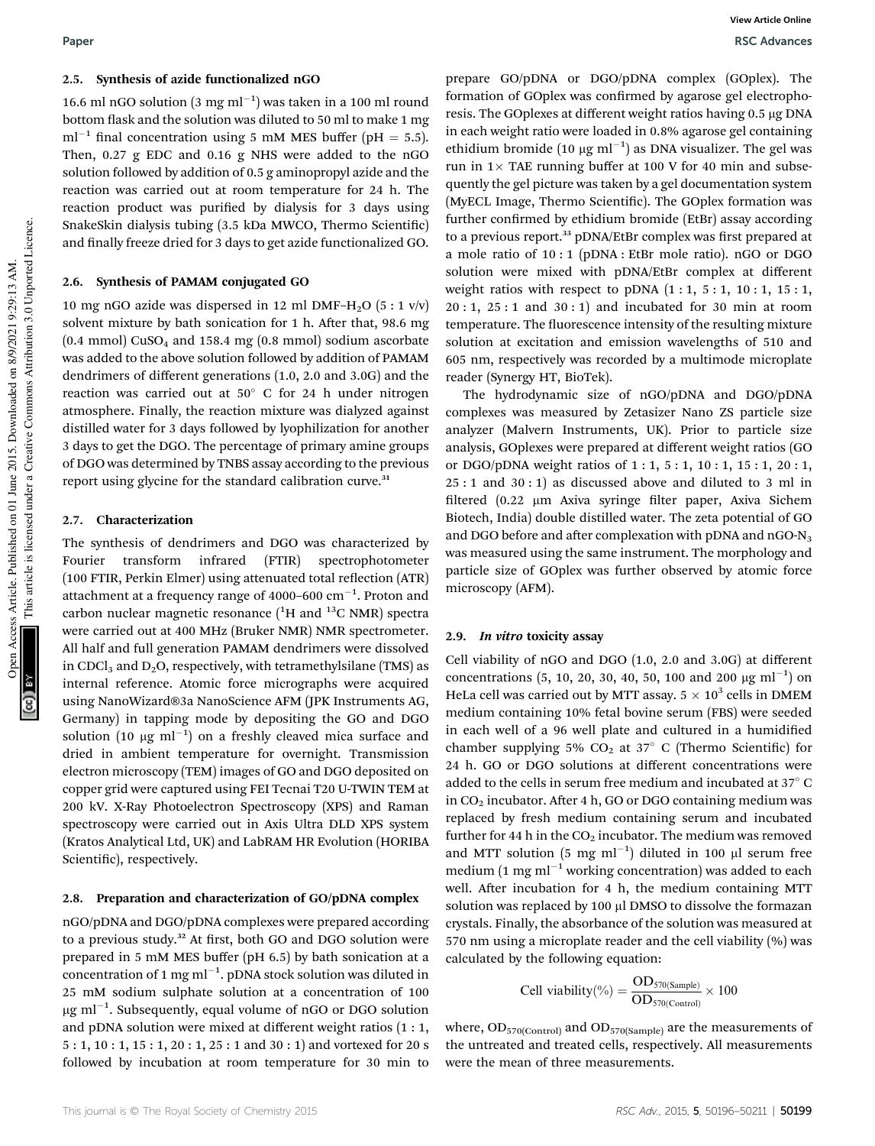#### 2.5. Synthesis of azide functionalized nGO

16.6 ml nGO solution  $(3 \text{ mg ml}^{-1})$  was taken in a 100 ml round bottom flask and the solution was diluted to 50 ml to make 1 mg  $ml^{-1}$  final concentration using 5 mM MES buffer (pH = 5.5). Then, 0.27 g EDC and 0.16 g NHS were added to the nGO solution followed by addition of 0.5 g aminopropyl azide and the reaction was carried out at room temperature for 24 h. The reaction product was purified by dialysis for 3 days using SnakeSkin dialysis tubing (3.5 kDa MWCO, Thermo Scientic) and finally freeze dried for 3 days to get azide functionalized GO.

#### 2.6. Synthesis of PAMAM conjugated GO

10 mg nGO azide was dispersed in 12 ml DMF-H<sub>2</sub>O (5 : 1 v/v) solvent mixture by bath sonication for 1 h. After that, 98.6 mg  $(0.4 \text{ mmol})$  CuSO<sub>4</sub> and 158.4 mg  $(0.8 \text{ mmol})$  sodium ascorbate was added to the above solution followed by addition of PAMAM dendrimers of different generations (1.0, 2.0 and 3.0G) and the reaction was carried out at  $50^{\circ}$  C for 24 h under nitrogen atmosphere. Finally, the reaction mixture was dialyzed against distilled water for 3 days followed by lyophilization for another 3 days to get the DGO. The percentage of primary amine groups of DGO was determined by TNBS assay according to the previous report using glycine for the standard calibration curve.<sup>31</sup>

#### 2.7. Characterization

The synthesis of dendrimers and DGO was characterized by Fourier transform infrared (FTIR) spectrophotometer (100 FTIR, Perkin Elmer) using attenuated total reflection (ATR) attachment at a frequency range of 4000–600  $\rm cm^{-1}.$  Proton and carbon nuclear magnetic resonance  $(^1H$  and  $^{13}C$  NMR) spectra were carried out at 400 MHz (Bruker NMR) NMR spectrometer. All half and full generation PAMAM dendrimers were dissolved in CDCl<sub>3</sub> and  $D_2O$ , respectively, with tetramethylsilane (TMS) as internal reference. Atomic force micrographs were acquired using NanoWizard®3a NanoScience AFM (JPK Instruments AG, Germany) in tapping mode by depositing the GO and DGO solution (10  $\mu$ g ml<sup>-1</sup>) on a freshly cleaved mica surface and dried in ambient temperature for overnight. Transmission electron microscopy (TEM) images of GO and DGO deposited on copper grid were captured using FEI Tecnai T20 U-TWIN TEM at 200 kV. X-Ray Photoelectron Spectroscopy (XPS) and Raman spectroscopy were carried out in Axis Ultra DLD XPS system (Kratos Analytical Ltd, UK) and LabRAM HR Evolution (HORIBA Scientific), respectively.

#### 2.8. Preparation and characterization of GO/pDNA complex

nGO/pDNA and DGO/pDNA complexes were prepared according to a previous study.<sup>32</sup> At first, both GO and DGO solution were prepared in 5 mM MES buffer (pH 6.5) by bath sonication at a concentration of 1 mg ml $^{-1}$ . pDNA stock solution was diluted in 25 mM sodium sulphate solution at a concentration of 100  $\mu$ g ml $^{-1}$ . Subsequently, equal volume of nGO or DGO solution and pDNA solution were mixed at different weight ratios (1 : 1, 5 : 1, 10 : 1, 15 : 1, 20 : 1, 25 : 1 and 30 : 1) and vortexed for 20 s followed by incubation at room temperature for 30 min to

prepare GO/pDNA or DGO/pDNA complex (GOplex). The formation of GOplex was confirmed by agarose gel electrophoresis. The GOplexes at different weight ratios having 0.5 μg DNA in each weight ratio were loaded in 0.8% agarose gel containing ethidium bromide (10  $\mu$ g ml<sup>-1</sup>) as DNA visualizer. The gel was run in  $1 \times$  TAE running buffer at 100 V for 40 min and subsequently the gel picture was taken by a gel documentation system (MyECL Image, Thermo Scientific). The GOplex formation was further confirmed by ethidium bromide (EtBr) assay according to a previous report.<sup>33</sup> pDNA/EtBr complex was first prepared at a mole ratio of 10 : 1 (pDNA : EtBr mole ratio). nGO or DGO solution were mixed with pDNA/EtBr complex at different weight ratios with respect to pDNA  $(1:1, 5:1, 10:1, 15:1,$ 20 : 1, 25 : 1 and 30 : 1) and incubated for 30 min at room temperature. The fluorescence intensity of the resulting mixture solution at excitation and emission wavelengths of 510 and 605 nm, respectively was recorded by a multimode microplate reader (Synergy HT, BioTek).

The hydrodynamic size of nGO/pDNA and DGO/pDNA complexes was measured by Zetasizer Nano ZS particle size analyzer (Malvern Instruments, UK). Prior to particle size analysis, GOplexes were prepared at different weight ratios (GO or DGO/pDNA weight ratios of 1 : 1, 5 : 1, 10 : 1, 15 : 1, 20 : 1,  $25:1$  and  $30:1$ ) as discussed above and diluted to 3 ml in filtered (0.22 µm Axiva syringe filter paper, Axiva Sichem Biotech, India) double distilled water. The zeta potential of GO and DGO before and after complexation with pDNA and  $n$ GO-N<sub>3</sub> was measured using the same instrument. The morphology and particle size of GOplex was further observed by atomic force microscopy (AFM).

#### 2.9. In vitro toxicity assay

Cell viability of nGO and DGO (1.0, 2.0 and 3.0G) at different concentrations (5, 10, 20, 30, 40, 50, 100 and 200  $\mu$ g ml<sup>-1</sup>) on HeLa cell was carried out by MTT assay.  $5 \times 10^3$  cells in DMEM medium containing 10% fetal bovine serum (FBS) were seeded in each well of a 96 well plate and cultured in a humidified chamber supplying 5%  $CO<sub>2</sub>$  at 37° C (Thermo Scientific) for 24 h. GO or DGO solutions at different concentrations were added to the cells in serum free medium and incubated at  $37^{\circ}$  C in  $CO<sub>2</sub>$  incubator. After 4 h, GO or DGO containing medium was replaced by fresh medium containing serum and incubated further for 44 h in the  $CO<sub>2</sub>$  incubator. The medium was removed and MTT solution  $(5 \text{ mg ml}^{-1})$  diluted in 100  $\mu$ l serum free medium  $(1 \text{ mg ml}^{-1}$  working concentration) was added to each well. After incubation for 4 h, the medium containing MTT solution was replaced by 100 µl DMSO to dissolve the formazan crystals. Finally, the absorbance of the solution was measured at 570 nm using a microplate reader and the cell viability (%) was calculated by the following equation:

$$
Cell\ viability(\%) = \frac{OD_{570(Sample)}}{OD_{570(Control)}} \times 100
$$

where,  $OD_{570\text{(Control)}}$  and  $OD_{570\text{(Sample)}}$  are the measurements of the untreated and treated cells, respectively. All measurements were the mean of three measurements.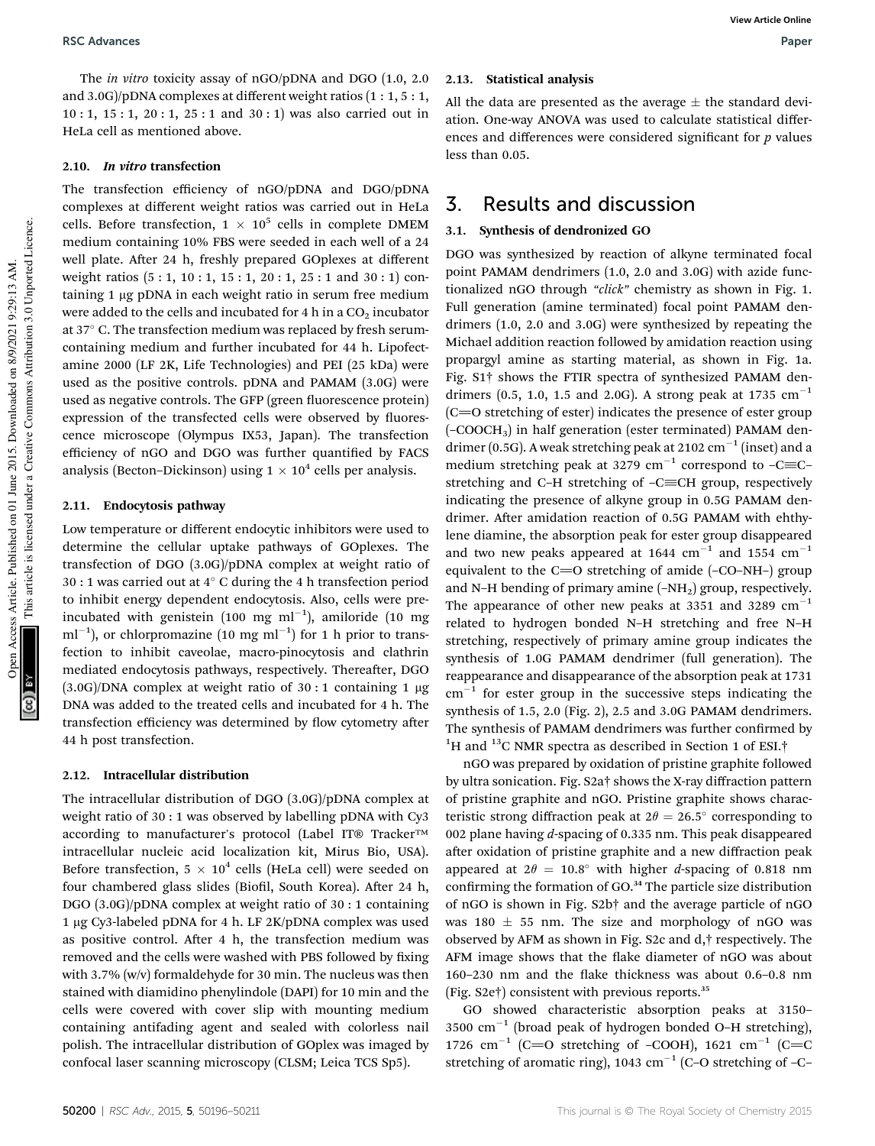The *in vitro* toxicity assay of nGO/pDNA and DGO (1.0, 2.0 and 3.0G)/pDNA complexes at different weight ratios (1 : 1, 5 : 1, 10 : 1, 15 : 1, 20 : 1, 25 : 1 and 30 : 1) was also carried out in HeLa cell as mentioned above.

#### 2.10. In vitro transfection

The transfection efficiency of nGO/pDNA and DGO/pDNA complexes at different weight ratios was carried out in HeLa cells. Before transfection,  $1 \times 10^5$  cells in complete DMEM medium containing 10% FBS were seeded in each well of a 24 well plate. After 24 h, freshly prepared GOplexes at different weight ratios (5:1, 10:1, 15:1, 20:1, 25:1 and 30:1) containing 1 µg pDNA in each weight ratio in serum free medium were added to the cells and incubated for 4 h in a  $CO<sub>2</sub>$  incubator at  $37^{\circ}$  C. The transfection medium was replaced by fresh serumcontaining medium and further incubated for 44 h. Lipofectamine 2000 (LF 2K, Life Technologies) and PEI (25 kDa) were used as the positive controls. pDNA and PAMAM (3.0G) were used as negative controls. The GFP (green fluorescence protein) expression of the transfected cells were observed by fluorescence microscope (Olympus IX53, Japan). The transfection efficiency of nGO and DGO was further quantified by FACS analysis (Becton–Dickinson) using 1  $\times$  10<sup>4</sup> cells per analysis.

#### 2.11. Endocytosis pathway

Low temperature or different endocytic inhibitors were used to determine the cellular uptake pathways of GOplexes. The transfection of DGO (3.0G)/pDNA complex at weight ratio of  $30:1$  was carried out at  $4^{\circ}$  C during the 4 h transfection period to inhibit energy dependent endocytosis. Also, cells were preincubated with genistein (100 mg ml $^{-1}$ ), amiloride (10 mg  $ml^{-1}$ ), or chlorpromazine (10 mg ml<sup>-1</sup>) for 1 h prior to transfection to inhibit caveolae, macro-pinocytosis and clathrin mediated endocytosis pathways, respectively. Thereafter, DGO  $(3.0G)/DNA$  complex at weight ratio of 30 : 1 containing 1 µg DNA was added to the treated cells and incubated for 4 h. The transfection efficiency was determined by flow cytometry after 44 h post transfection.

#### 2.12. Intracellular distribution

The intracellular distribution of DGO (3.0G)/pDNA complex at weight ratio of 30 : 1 was observed by labelling pDNA with Cy3 according to manufacturer's protocol (Label IT® Tracker™ intracellular nucleic acid localization kit, Mirus Bio, USA). Before transfection, 5  $\times$  10<sup>4</sup> cells (HeLa cell) were seeded on four chambered glass slides (Biofil, South Korea). After 24 h, DGO (3.0G)/pDNA complex at weight ratio of 30 : 1 containing 1 mg Cy3-labeled pDNA for 4 h. LF 2K/pDNA complex was used as positive control. After 4 h, the transfection medium was removed and the cells were washed with PBS followed by fixing with 3.7% (w/v) formaldehyde for 30 min. The nucleus was then stained with diamidino phenylindole (DAPI) for 10 min and the cells were covered with cover slip with mounting medium containing antifading agent and sealed with colorless nail polish. The intracellular distribution of GOplex was imaged by confocal laser scanning microscopy (CLSM; Leica TCS Sp5).

#### 2.13. Statistical analysis

All the data are presented as the average  $\pm$  the standard deviation. One-way ANOVA was used to calculate statistical differences and differences were considered significant for *p* values less than 0.05.

## 3. Results and discussion

#### 3.1. Synthesis of dendronized GO

DGO was synthesized by reaction of alkyne terminated focal point PAMAM dendrimers (1.0, 2.0 and 3.0G) with azide functionalized nGO through "*click*" chemistry as shown in Fig. 1. Full generation (amine terminated) focal point PAMAM dendrimers (1.0, 2.0 and 3.0G) were synthesized by repeating the Michael addition reaction followed by amidation reaction using propargyl amine as starting material, as shown in Fig. 1a. Fig. S1† shows the FTIR spectra of synthesized PAMAM dendrimers (0.5, 1.0, 1.5 and 2.0G). A strong peak at 1735  $cm^{-1}$  $(C=O$  stretching of ester) indicates the presence of ester group  $(-COOCH<sub>3</sub>)$  in half generation (ester terminated) PAMAM dendrimer (0.5G). A weak stretching peak at 2102  $\mathrm{cm}^{-1}$  (inset) and a medium stretching peak at 3279  $cm^{-1}$  correspond to -C $\equiv$ Cstretching and C–H stretching of  $-C\equiv$ CH group, respectively indicating the presence of alkyne group in 0.5G PAMAM dendrimer. After amidation reaction of 0.5G PAMAM with ehthylene diamine, the absorption peak for ester group disappeared and two new peaks appeared at 1644  $\mathrm{cm}^{-1}$  and 1554  $\mathrm{cm}^{-1}$ equivalent to the  $C=O$  stretching of amide (-CO-NH-) group and N–H bending of primary amine  $(-NH<sub>2</sub>)$  group, respectively. The appearance of other new peaks at 3351 and 3289  $cm^{-1}$ related to hydrogen bonded N–H stretching and free N–H stretching, respectively of primary amine group indicates the synthesis of 1.0G PAMAM dendrimer (full generation). The reappearance and disappearance of the absorption peak at 1731  $\text{cm}^{-1}$  for ester group in the successive steps indicating the synthesis of 1.5, 2.0 (Fig. 2), 2.5 and 3.0G PAMAM dendrimers. The synthesis of PAMAM dendrimers was further confirmed by <sup>1</sup>H and <sup>13</sup>C NMR spectra as described in Section 1 of ESI.<sup>†</sup>

nGO was prepared by oxidation of pristine graphite followed by ultra sonication. Fig. S2a† shows the X-ray diffraction pattern of pristine graphite and nGO. Pristine graphite shows characteristic strong diffraction peak at  $2\theta = 26.5^{\circ}$  corresponding to 002 plane having *d*-spacing of 0.335 nm. This peak disappeared after oxidation of pristine graphite and a new diffraction peak appeared at  $2\theta = 10.8^\circ$  with higher *d*-spacing of 0.818 nm confirming the formation of GO.<sup>34</sup> The particle size distribution of nGO is shown in Fig. S2b† and the average particle of nGO was  $180 \pm 55$  nm. The size and morphology of nGO was observed by AFM as shown in Fig. S2c and d,† respectively. The AFM image shows that the flake diameter of nGO was about  $160-230$  nm and the flake thickness was about  $0.6-0.8$  nm (Fig. S2e†) consistent with previous reports.<sup>35</sup>

GO showed characteristic absorption peaks at 3150– 3500  $\text{cm}^{-1}$  (broad peak of hydrogen bonded O-H stretching), 1726 cm<sup>-1</sup> (C=O stretching of -COOH), 1621 cm<sup>-1</sup> (C=C stretching of aromatic ring), 1043  $cm^{-1}$  (C-O stretching of -C-

This article is licensed under a Creative Commons Attribution 3.0 Unported Licence.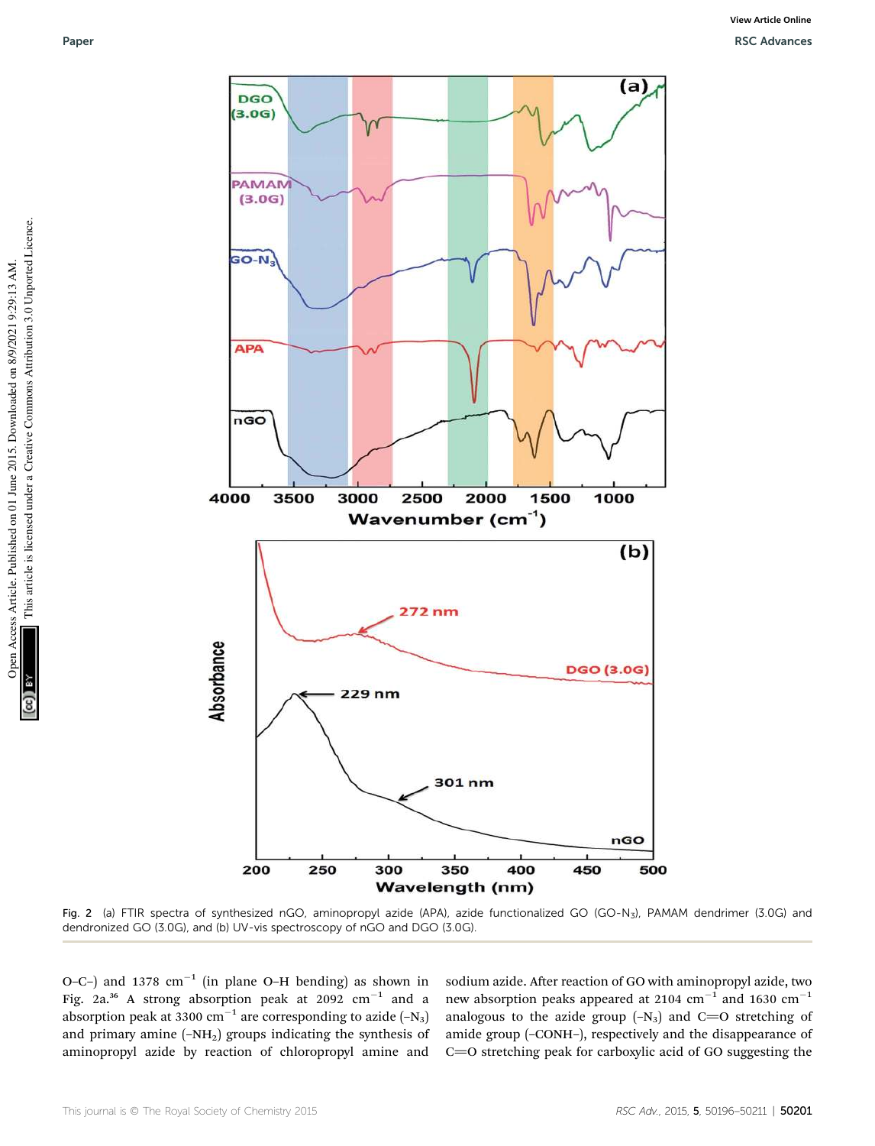

Fig. 2 (a) FTIR spectra of synthesized nGO, aminopropyl azide (APA), azide functionalized GO (GO-N3), PAMAM dendrimer (3.0G) and dendronized GO (3.0G), and (b) UV-vis spectroscopy of nGO and DGO (3.0G).

O–C–) and 1378  $\text{cm}^{-1}$  (in plane O–H bending) as shown in Fig. 2a. $^{36}$  A strong absorption peak at 2092  $\text{cm}^{-1}$  and a absorption peak at 3300  $\rm cm^{-1}$  are corresponding to azide (–N<sub>3</sub>) and primary amine  $(-NH<sub>2</sub>)$  groups indicating the synthesis of aminopropyl azide by reaction of chloropropyl amine and

sodium azide. After reaction of GO with aminopropyl azide, two new absorption peaks appeared at 2104  $\rm cm^{-1}$  and 1630  $\rm cm^{-1}$ analogous to the azide group  $(-N_3)$  and C=O stretching of amide group (–CONH–), respectively and the disappearance of C=O stretching peak for carboxylic acid of GO suggesting the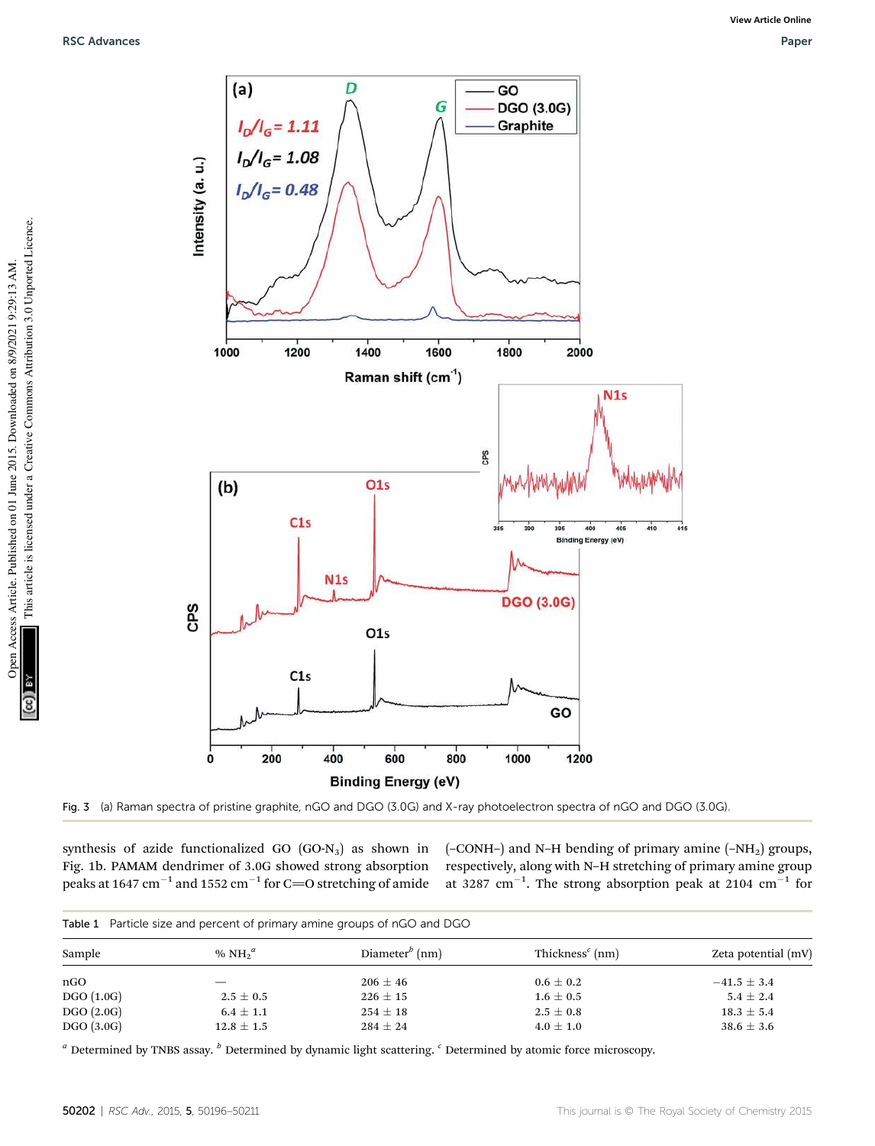

Fig. 3 (a) Raman spectra of pristine graphite, nGO and DGO (3.0G) and X-ray photoelectron spectra of nGO and DGO (3.0G).

synthesis of azide functionalized GO (GO-N3) as shown in Fig. 1b. PAMAM dendrimer of 3.0G showed strong absorption peaks at 1647  $\rm cm^{-1}$  and 1552  $\rm cm^{-1}$  for C $=\!$ O stretching of amide

 $(-CONH-)$  and N–H bending of primary amine  $(-NH<sub>2</sub>)$  groups, respectively, along with N–H stretching of primary amine group at 3287  $\text{cm}^{-1}$ . The strong absorption peak at 2104  $\text{cm}^{-1}$  for

| Table 1 Particle size and percent of primary amine groups of nGO and DGO |                |                                   |                                          |                     |
|--------------------------------------------------------------------------|----------------|-----------------------------------|------------------------------------------|---------------------|
| Sample                                                                   | % $NH2a$       | Diameter <sup><i>b</i></sup> (nm) | Thickness <sup><math>c</math></sup> (nm) | Zeta potential (mV) |
| nGO                                                                      |                | $206 \pm 46$                      | $0.6 \pm 0.2$                            | $-41.5 \pm 3.4$     |
| DGO (1.0G)                                                               | $2.5 \pm 0.5$  | $226 \pm 15$                      | $1.6 \pm 0.5$                            | $5.4 \pm 2.4$       |
| DGO (2.0G)                                                               | $6.4 \pm 1.1$  | $254 \pm 18$                      | $2.5\pm0.8$                              | $18.3 \pm 5.4$      |
| DGO (3.0G)                                                               | $12.8 \pm 1.5$ | $284 \pm 24$                      | $4.0 \pm 1.0$                            | $38.6 \pm 3.6$      |

*<sup>a</sup>* Determined by TNBS assay. *<sup>b</sup>* Determined by dynamic light scattering. *<sup>c</sup>* Determined by atomic force microscopy.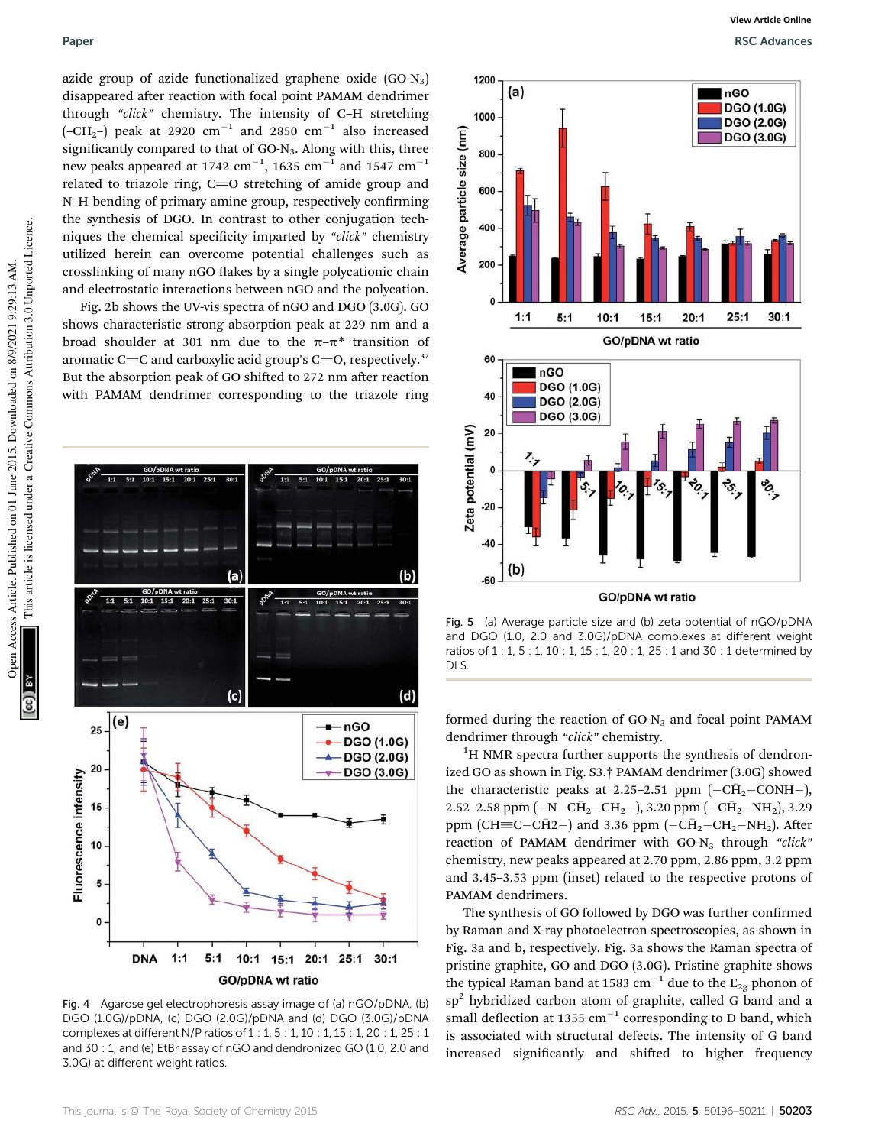azide group of azide functionalized graphene oxide  $(GO-N<sub>3</sub>)$ disappeared after reaction with focal point PAMAM dendrimer through "*click*" chemistry. The intensity of C–H stretching  $(-CH<sub>2</sub>-)$  peak at 2920  $\text{cm}^{-1}$  and 2850  $\text{cm}^{-1}$  also increased significantly compared to that of  $GO-N<sub>3</sub>$ . Along with this, three new peaks appeared at 1742  $\rm cm^{-1}$ , 1635  $\rm cm^{-1}$  and 1547  $\rm cm^{-1}$ related to triazole ring,  $C=O$  stretching of amide group and N–H bending of primary amine group, respectively confirming the synthesis of DGO. In contrast to other conjugation techniques the chemical specificity imparted by "*click*" chemistry utilized herein can overcome potential challenges such as crosslinking of many nGO flakes by a single polycationic chain and electrostatic interactions between nGO and the polycation.

Fig. 2b shows the UV-vis spectra of nGO and DGO (3.0G). GO shows characteristic strong absorption peak at 229 nm and a broad shoulder at 301 nm due to the  $\pi-\pi^*$  transition of aromatic C=C and carboxylic acid group's C=O, respectively.<sup>37</sup> But the absorption peak of GO shifted to 272 nm after reaction with PAMAM dendrimer corresponding to the triazole ring



Fig. 4 Agarose gel electrophoresis assay image of (a) nGO/pDNA, (b) DGO (1.0G)/pDNA, (c) DGO (2.0G)/pDNA and (d) DGO (3.0G)/pDNA complexes at different N/P ratios of 1 : 1, 5 : 1, 10 : 1, 15 : 1, 20 : 1, 25 : 1 and 30 : 1, and (e) EtBr assay of nGO and dendronized GO (1.0, 2.0 and 3.0G) at different weight ratios.



Fig. 5 (a) Average particle size and (b) zeta potential of nGO/pDNA and DGO (1.0, 2.0 and 3.0G)/pDNA complexes at different weight ratios of 1 : 1, 5 : 1, 10 : 1, 15 : 1, 20 : 1, 25 : 1 and 30 : 1 determined by DLS.

formed during the reaction of  $GO-N<sub>3</sub>$  and focal point PAMAM dendrimer through "*click*" chemistry.

<sup>1</sup>H NMR spectra further supports the synthesis of dendronized GO as shown in Fig. S3.† PAMAM dendrimer (3.0G) showed the characteristic peaks at 2.25–2.51 ppm  $(-\text{C}\overline{H}_{2}-\text{CONH-})$ , 2.52–2.58 ppm  $(-N-C\bar{H}_2-CH_2-),$  3.20 ppm  $(-C\bar{H}_2-NH_2),$  3.29 ppm (CH $\equiv$ C $-C\overline{H}2$ -) and 3.36 ppm ( $-C\overline{H}_2$  $-CH_2-NH_2$ ). After reaction of PAMAM dendrimer with GO-N<sub>3</sub> through "click" chemistry, new peaks appeared at 2.70 ppm, 2.86 ppm, 3.2 ppm and 3.45–3.53 ppm (inset) related to the respective protons of PAMAM dendrimers.

The synthesis of GO followed by DGO was further confirmed by Raman and X-ray photoelectron spectroscopies, as shown in Fig. 3a and b, respectively. Fig. 3a shows the Raman spectra of pristine graphite, GO and DGO (3.0G). Pristine graphite shows the typical Raman band at 1583  $\rm cm^{-1}$  due to the  $\rm E_{2g}$  phonon of sp<sup>2</sup> hybridized carbon atom of graphite, called G band and a small deflection at 1355  $cm^{-1}$  corresponding to D band, which is associated with structural defects. The intensity of G band increased significantly and shifted to higher frequency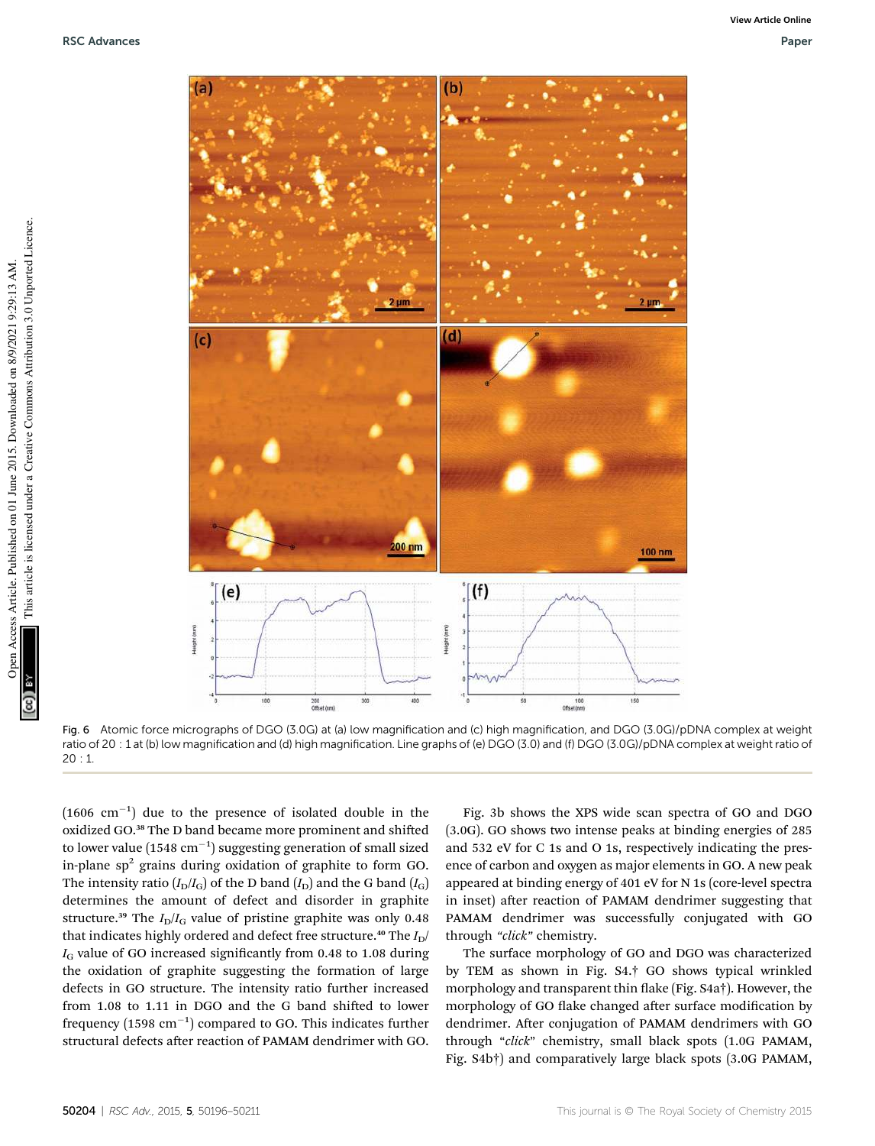

Fig. 6 Atomic force micrographs of DGO (3.0G) at (a) low magnification and (c) high magnification, and DGO (3.0G)/pDNA complex at weight ratio of 20 : 1 at (b) low magnification and (d) high magnification. Line graphs of (e) DGO (3.0) and (f) DGO (3.0G)/pDNA complex at weight ratio of 20 : 1.

 $(1606 \text{ cm}^{-1})$  due to the presence of isolated double in the oxidized GO.<sup>38</sup> The D band became more prominent and shifted to lower value  $(1548 \text{ cm}^{-1})$  suggesting generation of small sized in-plane  $sp^2$  grains during oxidation of graphite to form GO. The intensity ratio  $(I_D/I_G)$  of the D band  $(I_D)$  and the G band  $(I_G)$ determines the amount of defect and disorder in graphite structure.<sup>39</sup> The  $I_D/I_G$  value of pristine graphite was only 0.48 that indicates highly ordered and defect free structure.<sup>40</sup> The  $I_D$ / *I*<sub>G</sub> value of GO increased significantly from 0.48 to 1.08 during the oxidation of graphite suggesting the formation of large defects in GO structure. The intensity ratio further increased from 1.08 to 1.11 in DGO and the G band shifted to lower frequency (1598  $\text{cm}^{-1}$ ) compared to GO. This indicates further structural defects after reaction of PAMAM dendrimer with GO.

Fig. 3b shows the XPS wide scan spectra of GO and DGO (3.0G). GO shows two intense peaks at binding energies of 285 and 532 eV for C 1s and O 1s, respectively indicating the presence of carbon and oxygen as major elements in GO. A new peak appeared at binding energy of 401 eV for N 1s (core-level spectra in inset) after reaction of PAMAM dendrimer suggesting that PAMAM dendrimer was successfully conjugated with GO through "*click*" chemistry.

The surface morphology of GO and DGO was characterized by TEM as shown in Fig. S4.† GO shows typical wrinkled morphology and transparent thin flake (Fig. S4a†). However, the morphology of GO flake changed after surface modification by dendrimer. After conjugation of PAMAM dendrimers with GO through "*click*" chemistry, small black spots (1.0G PAMAM, Fig. S4b†) and comparatively large black spots (3.0G PAMAM,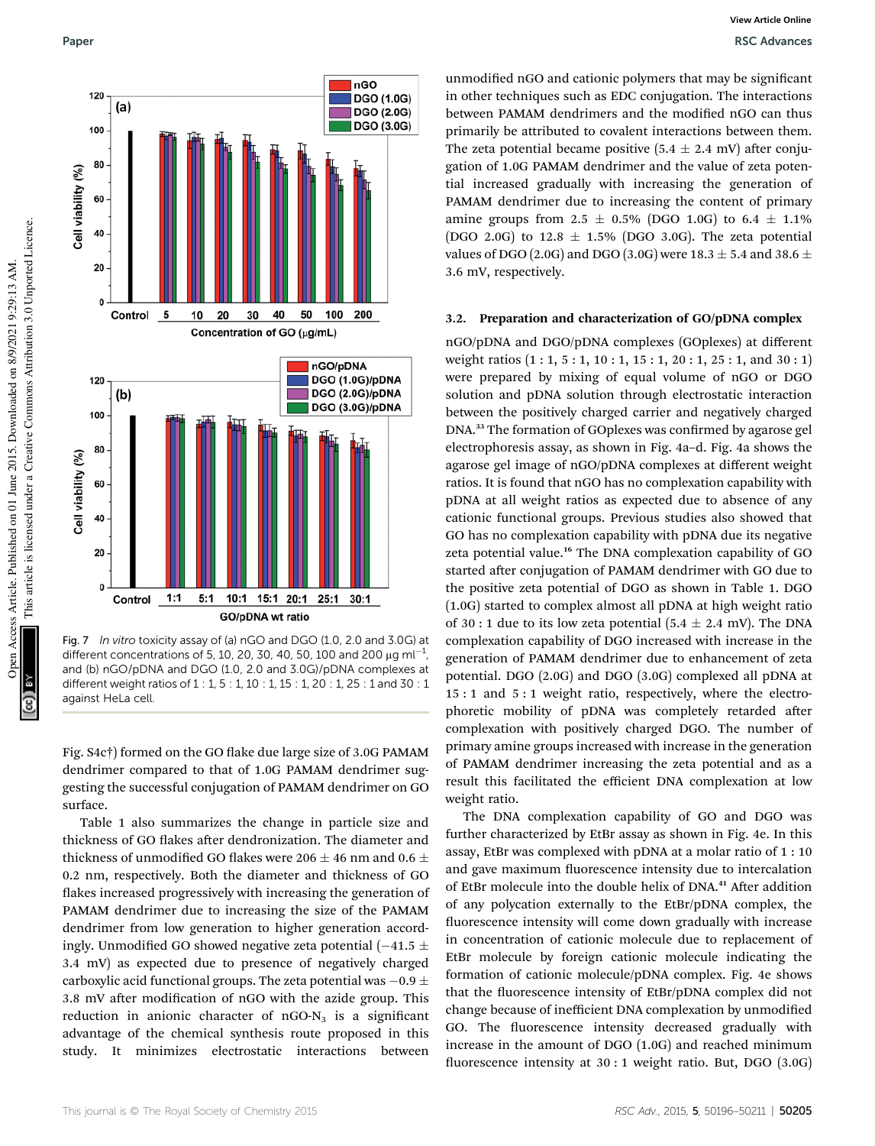

Fig. 7 In vitro toxicity assay of (a) nGO and DGO (1.0, 2.0 and 3.0G) at different concentrations of 5, 10, 20, 30, 40, 50, 100 and 200  $\mu$ g ml<sup>-1</sup>, and (b) nGO/pDNA and DGO (1.0, 2.0 and 3.0G)/pDNA complexes at different weight ratios of 1 : 1, 5 : 1, 10 : 1, 15 : 1, 20 : 1, 25 : 1 and 30 : 1 against HeLa cell.

Fig. S4c†) formed on the GO flake due large size of 3.0G PAMAM dendrimer compared to that of 1.0G PAMAM dendrimer suggesting the successful conjugation of PAMAM dendrimer on GO surface.

Table 1 also summarizes the change in particle size and thickness of GO flakes after dendronization. The diameter and thickness of unmodified GO flakes were 206  $\pm$  46 nm and 0.6  $\pm$ 0.2 nm, respectively. Both the diameter and thickness of GO flakes increased progressively with increasing the generation of PAMAM dendrimer due to increasing the size of the PAMAM dendrimer from low generation to higher generation accordingly. Unmodified GO showed negative zeta potential ( $-41.5 \pm$ 3.4 mV) as expected due to presence of negatively charged carboxylic acid functional groups. The zeta potential was  $-0.9 \pm$ 3.8 mV after modification of nGO with the azide group. This reduction in anionic character of  $nGO-N<sub>3</sub>$  is a significant advantage of the chemical synthesis route proposed in this study. It minimizes electrostatic interactions between

unmodified nGO and cationic polymers that may be significant in other techniques such as EDC conjugation. The interactions between PAMAM dendrimers and the modified nGO can thus primarily be attributed to covalent interactions between them. The zeta potential became positive  $(5.4 \pm 2.4 \text{ mV})$  after conjugation of 1.0G PAMAM dendrimer and the value of zeta potential increased gradually with increasing the generation of PAMAM dendrimer due to increasing the content of primary amine groups from 2.5  $\pm$  0.5% (DGO 1.0G) to 6.4  $\pm$  1.1% (DGO 2.0G) to 12.8  $\pm$  1.5% (DGO 3.0G). The zeta potential values of DGO (2.0G) and DGO (3.0G) were 18.3  $\pm$  5.4 and 38.6  $\pm$ 3.6 mV, respectively.

#### 3.2. Preparation and characterization of GO/pDNA complex

nGO/pDNA and DGO/pDNA complexes (GOplexes) at different weight ratios  $(1:1, 5:1, 10:1, 15:1, 20:1, 25:1,$  and  $30:1)$ were prepared by mixing of equal volume of nGO or DGO solution and pDNA solution through electrostatic interaction between the positively charged carrier and negatively charged DNA.<sup>33</sup> The formation of GOplexes was confirmed by agarose gel electrophoresis assay, as shown in Fig. 4a–d. Fig. 4a shows the agarose gel image of nGO/pDNA complexes at different weight ratios. It is found that nGO has no complexation capability with pDNA at all weight ratios as expected due to absence of any cationic functional groups. Previous studies also showed that GO has no complexation capability with pDNA due its negative zeta potential value.<sup>16</sup> The DNA complexation capability of GO started after conjugation of PAMAM dendrimer with GO due to the positive zeta potential of DGO as shown in Table 1. DGO (1.0G) started to complex almost all pDNA at high weight ratio of 30 : 1 due to its low zeta potential (5.4  $\pm$  2.4 mV). The DNA complexation capability of DGO increased with increase in the generation of PAMAM dendrimer due to enhancement of zeta potential. DGO (2.0G) and DGO (3.0G) complexed all pDNA at 15 : 1 and 5 : 1 weight ratio, respectively, where the electrophoretic mobility of pDNA was completely retarded after complexation with positively charged DGO. The number of primary amine groups increased with increase in the generation of PAMAM dendrimer increasing the zeta potential and as a result this facilitated the efficient DNA complexation at low weight ratio.

The DNA complexation capability of GO and DGO was further characterized by EtBr assay as shown in Fig. 4e. In this assay, EtBr was complexed with pDNA at a molar ratio of 1 : 10 and gave maximum fluorescence intensity due to intercalation of EtBr molecule into the double helix of DNA.<sup>41</sup> After addition of any polycation externally to the EtBr/pDNA complex, the fluorescence intensity will come down gradually with increase in concentration of cationic molecule due to replacement of EtBr molecule by foreign cationic molecule indicating the formation of cationic molecule/pDNA complex. Fig. 4e shows that the fluorescence intensity of EtBr/pDNA complex did not change because of inefficient DNA complexation by unmodified GO. The fluorescence intensity decreased gradually with increase in the amount of DGO (1.0G) and reached minimum fluorescence intensity at 30 : 1 weight ratio. But, DGO (3.0G)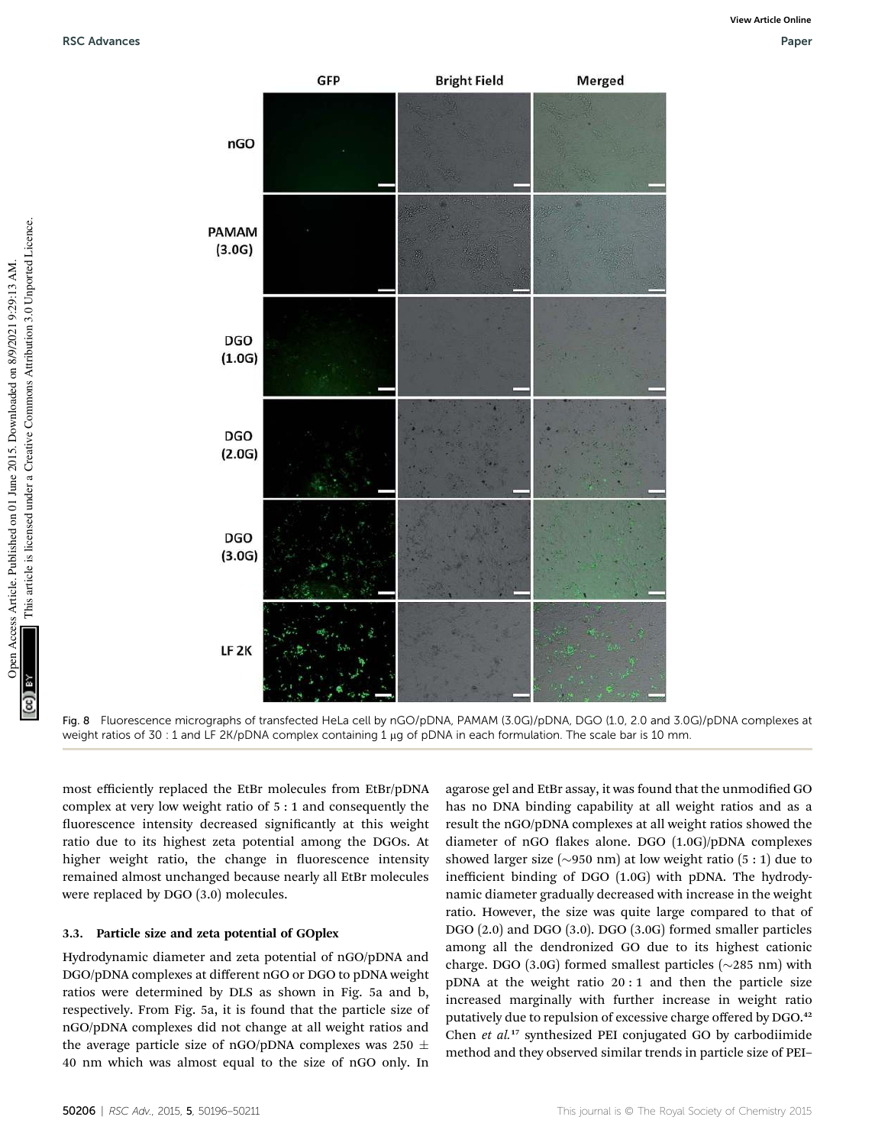This article is licensed under a Creative Commons Attribution 3.0 Unported Licence. This article is licensed under a Creative Commons Attribution 3.0 Unported Licence. Open Access Article. Published on 01 June 2015. Downloaded on 8/9/2021 9:29:13 AM. Open Access Article. Published on 01 June 2015. Downloaded on 8/9/2021 9:29:13 AM.



Fig. 8 Fluorescence micrographs of transfected HeLa cell by nGO/pDNA, PAMAM (3.0G)/pDNA, DGO (1.0, 2.0 and 3.0G)/pDNA complexes at weight ratios of 30 : 1 and LF 2K/pDNA complex containing 1 µg of pDNA in each formulation. The scale bar is 10 mm.

most efficiently replaced the EtBr molecules from EtBr/pDNA complex at very low weight ratio of 5 : 1 and consequently the fluorescence intensity decreased significantly at this weight ratio due to its highest zeta potential among the DGOs. At higher weight ratio, the change in fluorescence intensity remained almost unchanged because nearly all EtBr molecules were replaced by DGO (3.0) molecules.

### 3.3. Particle size and zeta potential of GOplex

Hydrodynamic diameter and zeta potential of nGO/pDNA and DGO/pDNA complexes at different nGO or DGO to pDNA weight ratios were determined by DLS as shown in Fig. 5a and b, respectively. From Fig. 5a, it is found that the particle size of nGO/pDNA complexes did not change at all weight ratios and the average particle size of nGO/pDNA complexes was 250  $\pm$ 40 nm which was almost equal to the size of nGO only. In

agarose gel and EtBr assay, it was found that the unmodified GO has no DNA binding capability at all weight ratios and as a result the nGO/pDNA complexes at all weight ratios showed the diameter of nGO flakes alone. DGO  $(1.0G)/pDNA$  complexes showed larger size ( $\sim$ 950 nm) at low weight ratio (5 : 1) due to inefficient binding of DGO (1.0G) with pDNA. The hydrodynamic diameter gradually decreased with increase in the weight ratio. However, the size was quite large compared to that of DGO (2.0) and DGO (3.0). DGO (3.0G) formed smaller particles among all the dendronized GO due to its highest cationic charge. DGO (3.0G) formed smallest particles ( $\sim$ 285 nm) with pDNA at the weight ratio 20 : 1 and then the particle size increased marginally with further increase in weight ratio putatively due to repulsion of excessive charge offered by DGO.<sup>42</sup> Chen *et al.*<sup>17</sup> synthesized PEI conjugated GO by carbodiimide method and they observed similar trends in particle size of PEI–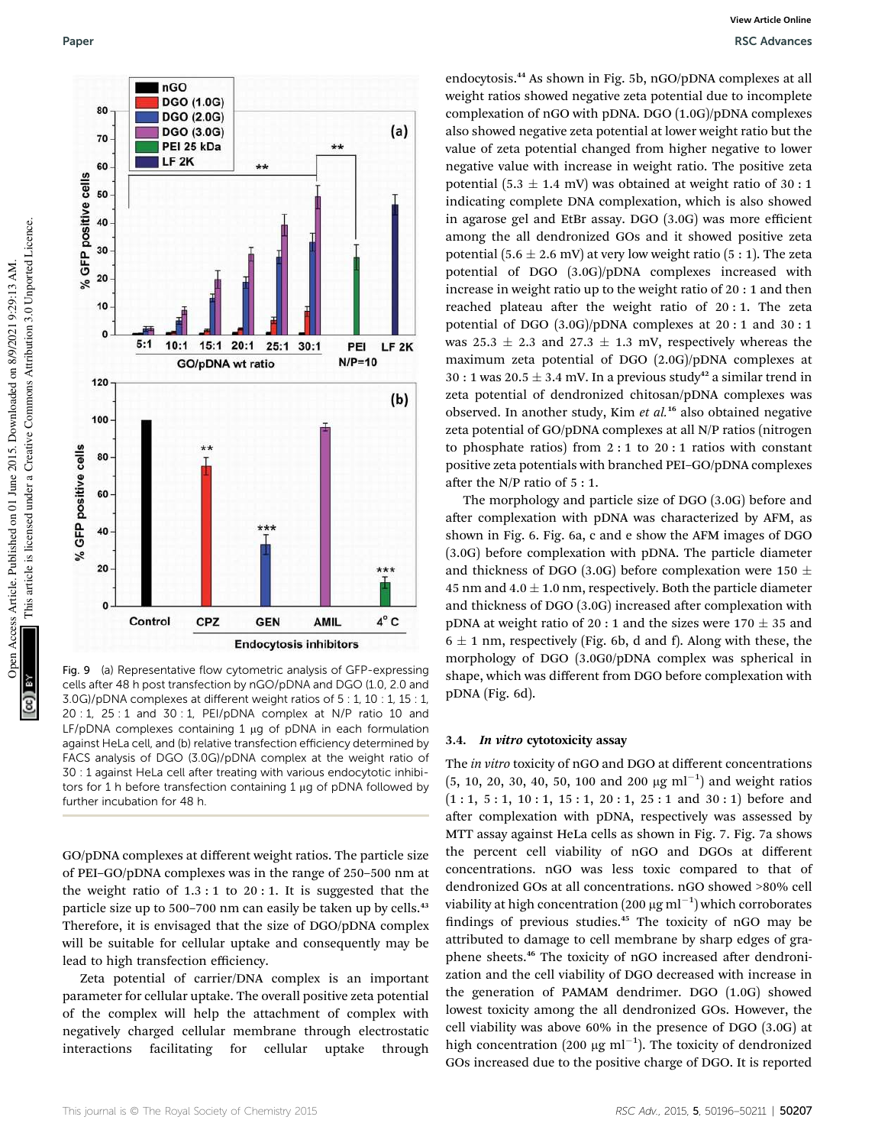

Fig. 9 (a) Representative flow cytometric analysis of GFP-expressing cells after 48 h post transfection by nGO/pDNA and DGO (1.0, 2.0 and 3.0G)/pDNA complexes at different weight ratios of 5 : 1, 10 : 1, 15 : 1, 20 : 1, 25 : 1 and 30 : 1, PEI/pDNA complex at N/P ratio 10 and LF/pDNA complexes containing  $1 \mu$ g of pDNA in each formulation against HeLa cell, and (b) relative transfection efficiency determined by FACS analysis of DGO (3.0G)/pDNA complex at the weight ratio of 30 : 1 against HeLa cell after treating with various endocytotic inhibitors for 1 h before transfection containing 1  $\mu$ g of pDNA followed by further incubation for 48 h.

GO/pDNA complexes at different weight ratios. The particle size of PEI–GO/pDNA complexes was in the range of 250–500 nm at the weight ratio of  $1.3:1$  to  $20:1$ . It is suggested that the particle size up to 500–700 nm can easily be taken up by cells.<sup>43</sup> Therefore, it is envisaged that the size of DGO/pDNA complex will be suitable for cellular uptake and consequently may be lead to high transfection efficiency.

Zeta potential of carrier/DNA complex is an important parameter for cellular uptake. The overall positive zeta potential of the complex will help the attachment of complex with negatively charged cellular membrane through electrostatic interactions facilitating for cellular uptake through

endocytosis.<sup>44</sup> As shown in Fig. 5b, nGO/pDNA complexes at all weight ratios showed negative zeta potential due to incomplete complexation of nGO with pDNA. DGO (1.0G)/pDNA complexes also showed negative zeta potential at lower weight ratio but the value of zeta potential changed from higher negative to lower negative value with increase in weight ratio. The positive zeta potential (5.3  $\pm$  1.4 mV) was obtained at weight ratio of 30 : 1 indicating complete DNA complexation, which is also showed in agarose gel and EtBr assay. DGO (3.0G) was more efficient among the all dendronized GOs and it showed positive zeta potential (5.6  $\pm$  2.6 mV) at very low weight ratio (5 : 1). The zeta potential of DGO (3.0G)/pDNA complexes increased with increase in weight ratio up to the weight ratio of 20 : 1 and then reached plateau after the weight ratio of  $20:1$ . The zeta potential of DGO (3.0G)/pDNA complexes at 20 : 1 and 30 : 1 was 25.3  $\pm$  2.3 and 27.3  $\pm$  1.3 mV, respectively whereas the maximum zeta potential of DGO (2.0G)/pDNA complexes at  $30:1$  was  $20.5 \pm 3.4$  mV. In a previous study<sup>42</sup> a similar trend in zeta potential of dendronized chitosan/pDNA complexes was observed. In another study, Kim *et al.*<sup>16</sup> also obtained negative zeta potential of GO/pDNA complexes at all N/P ratios (nitrogen to phosphate ratios) from  $2:1$  to  $20:1$  ratios with constant positive zeta potentials with branched PEI–GO/pDNA complexes after the N/P ratio of  $5:1$ .

The morphology and particle size of DGO (3.0G) before and after complexation with pDNA was characterized by AFM, as shown in Fig. 6. Fig. 6a, c and e show the AFM images of DGO (3.0G) before complexation with pDNA. The particle diameter and thickness of DGO (3.0G) before complexation were 150  $\pm$ 45 nm and  $4.0 \pm 1.0$  nm, respectively. Both the particle diameter and thickness of DGO (3.0G) increased after complexation with pDNA at weight ratio of 20 : 1 and the sizes were  $170 \pm 35$  and  $6 \pm 1$  nm, respectively (Fig. 6b, d and f). Along with these, the morphology of DGO (3.0G0/pDNA complex was spherical in shape, which was different from DGO before complexation with pDNA (Fig. 6d).

#### 3.4. In vitro cytotoxicity assay

The *in vitro* toxicity of nGO and DGO at different concentrations  $(5, 10, 20, 30, 40, 50, 100 \text{ and } 200 \text{ µg ml}^{-1})$  and weight ratios  $(1:1, 5:1, 10:1, 15:1, 20:1, 25:1 \text{ and } 30:1)$  before and after complexation with pDNA, respectively was assessed by MTT assay against HeLa cells as shown in Fig. 7. Fig. 7a shows the percent cell viability of nGO and DGOs at different concentrations. nGO was less toxic compared to that of dendronized GOs at all concentrations. nGO showed >80% cell viability at high concentration  $(200 \ \mu\mathrm{g\,ml}^{-1})$  which corroborates findings of previous studies.<sup>45</sup> The toxicity of nGO may be attributed to damage to cell membrane by sharp edges of graphene sheets.<sup>46</sup> The toxicity of nGO increased after dendronization and the cell viability of DGO decreased with increase in the generation of PAMAM dendrimer. DGO (1.0G) showed lowest toxicity among the all dendronized GOs. However, the cell viability was above 60% in the presence of DGO (3.0G) at high concentration (200  $\mu$ g ml<sup>-1</sup>). The toxicity of dendronized GOs increased due to the positive charge of DGO. It is reported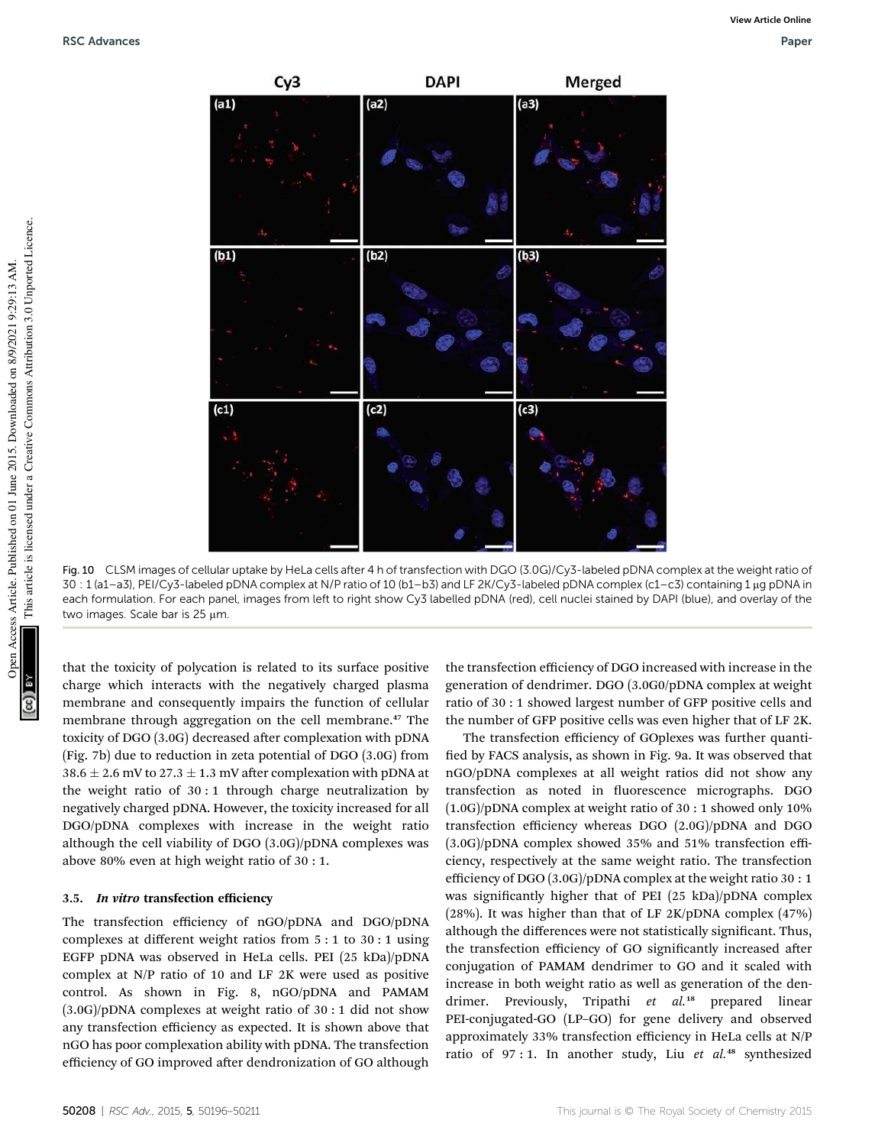

Fig. 10 CLSM images of cellular uptake by HeLa cells after 4 h of transfection with DGO (3.0G)/Cy3-labeled pDNA complex at the weight ratio of 30 : 1 (a1–a3), PEI/Cy3-labeled pDNA complex at N/P ratio of 10 (b1–b3) and LF 2K/Cy3-labeled pDNA complex (c1–c3) containing 1 mg pDNA in each formulation. For each panel, images from left to right show Cy3 labelled pDNA (red), cell nuclei stained by DAPI (blue), and overlay of the two images. Scale bar is  $25 \mu m$ 

that the toxicity of polycation is related to its surface positive charge which interacts with the negatively charged plasma membrane and consequently impairs the function of cellular membrane through aggregation on the cell membrane.<sup>47</sup> The toxicity of DGO (3.0G) decreased after complexation with pDNA (Fig. 7b) due to reduction in zeta potential of DGO (3.0G) from  $38.6 \pm 2.6$  mV to  $27.3 \pm 1.3$  mV after complexation with pDNA at the weight ratio of 30 : 1 through charge neutralization by negatively charged pDNA. However, the toxicity increased for all DGO/pDNA complexes with increase in the weight ratio although the cell viability of DGO (3.0G)/pDNA complexes was above 80% even at high weight ratio of 30 : 1.

#### 3.5. In vitro transfection efficiency

The transfection efficiency of nGO/pDNA and DGO/pDNA complexes at different weight ratios from 5 : 1 to 30 : 1 using EGFP pDNA was observed in HeLa cells. PEI (25 kDa)/pDNA complex at N/P ratio of 10 and LF 2K were used as positive control. As shown in Fig. 8, nGO/pDNA and PAMAM (3.0G)/pDNA complexes at weight ratio of 30 : 1 did not show any transfection efficiency as expected. It is shown above that nGO has poor complexation ability with pDNA. The transfection efficiency of GO improved after dendronization of GO although

the transfection efficiency of DGO increased with increase in the generation of dendrimer. DGO (3.0G0/pDNA complex at weight ratio of 30 : 1 showed largest number of GFP positive cells and the number of GFP positive cells was even higher that of LF 2K.

The transfection efficiency of GOplexes was further quanti fied by FACS analysis, as shown in Fig. 9a. It was observed that nGO/pDNA complexes at all weight ratios did not show any transfection as noted in fluorescence micrographs. DGO (1.0G)/pDNA complex at weight ratio of 30 : 1 showed only 10% transfection efficiency whereas DGO (2.0G)/pDNA and DGO (3.0G)/pDNA complex showed 35% and 51% transfection efficiency, respectively at the same weight ratio. The transfection efficiency of DGO (3.0G)/pDNA complex at the weight ratio 30 : 1 was signicantly higher that of PEI (25 kDa)/pDNA complex (28%). It was higher than that of LF 2K/pDNA complex (47%) although the differences were not statistically significant. Thus, the transfection efficiency of GO significantly increased after conjugation of PAMAM dendrimer to GO and it scaled with increase in both weight ratio as well as generation of the dendrimer. Previously, Tripathi *et al.*<sup>18</sup> prepared linear PEI-conjugated-GO (LP–GO) for gene delivery and observed approximately 33% transfection efficiency in HeLa cells at N/P ratio of 97 : 1. In another study, Liu *et al.*<sup>48</sup> synthesized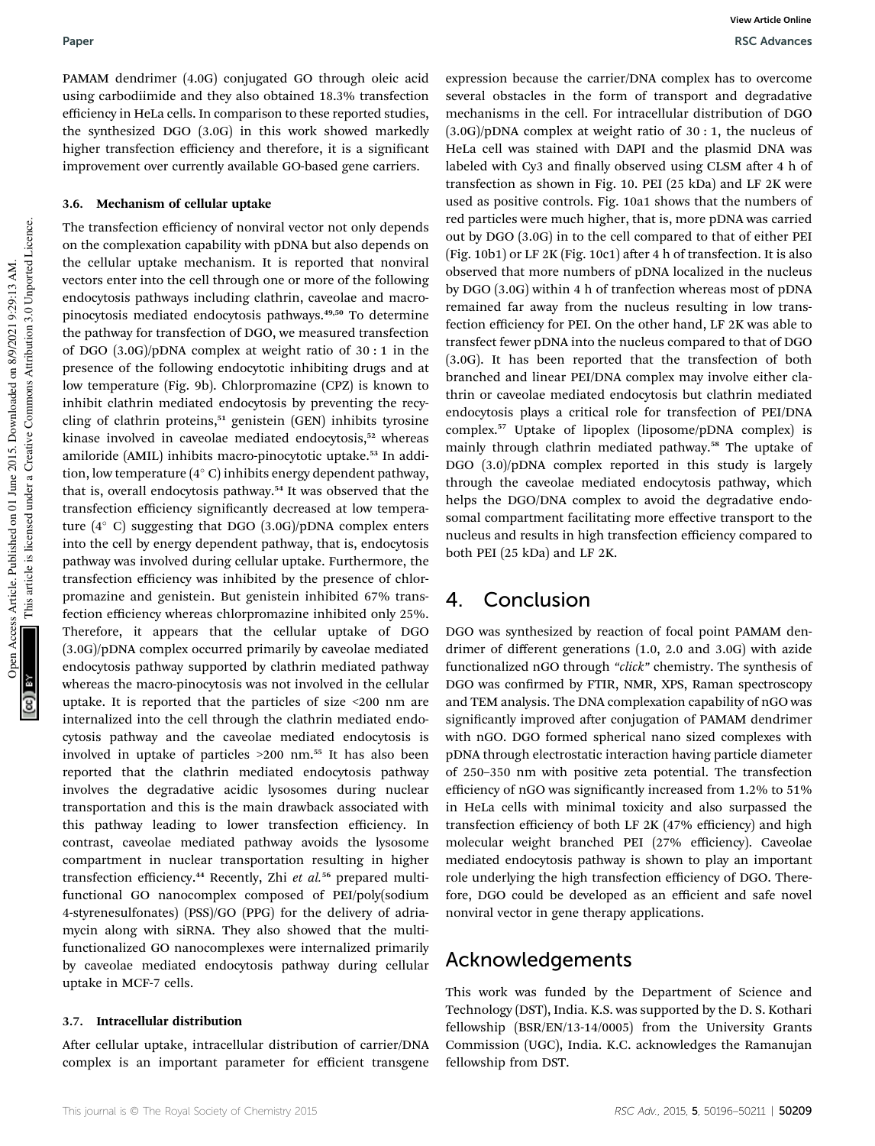PAMAM dendrimer (4.0G) conjugated GO through oleic acid using carbodiimide and they also obtained 18.3% transfection efficiency in HeLa cells. In comparison to these reported studies, the synthesized DGO (3.0G) in this work showed markedly higher transfection efficiency and therefore, it is a significant improvement over currently available GO-based gene carriers.

#### 3.6. Mechanism of cellular uptake

The transfection efficiency of nonviral vector not only depends on the complexation capability with pDNA but also depends on the cellular uptake mechanism. It is reported that nonviral vectors enter into the cell through one or more of the following endocytosis pathways including clathrin, caveolae and macropinocytosis mediated endocytosis pathways.49,50 To determine the pathway for transfection of DGO, we measured transfection of DGO (3.0G)/pDNA complex at weight ratio of 30 : 1 in the presence of the following endocytotic inhibiting drugs and at low temperature (Fig. 9b). Chlorpromazine (CPZ) is known to inhibit clathrin mediated endocytosis by preventing the recycling of clathrin proteins,<sup>51</sup> genistein (GEN) inhibits tyrosine kinase involved in caveolae mediated endocytosis,<sup>52</sup> whereas amiloride (AMIL) inhibits macro-pinocytotic uptake.<sup>53</sup> In addition, low temperature  $(4^{\circ}$  C) inhibits energy dependent pathway, that is, overall endocytosis pathway.<sup>54</sup> It was observed that the transfection efficiency significantly decreased at low temperature  $(4^{\circ}$  C) suggesting that DGO  $(3.0G)/pDNA$  complex enters into the cell by energy dependent pathway, that is, endocytosis pathway was involved during cellular uptake. Furthermore, the transfection efficiency was inhibited by the presence of chlorpromazine and genistein. But genistein inhibited 67% transfection efficiency whereas chlorpromazine inhibited only 25%. Therefore, it appears that the cellular uptake of DGO (3.0G)/pDNA complex occurred primarily by caveolae mediated endocytosis pathway supported by clathrin mediated pathway whereas the macro-pinocytosis was not involved in the cellular uptake. It is reported that the particles of size  $\leq 200$  nm are internalized into the cell through the clathrin mediated endocytosis pathway and the caveolae mediated endocytosis is involved in uptake of particles >200 nm.<sup>55</sup> It has also been reported that the clathrin mediated endocytosis pathway involves the degradative acidic lysosomes during nuclear transportation and this is the main drawback associated with this pathway leading to lower transfection efficiency. In contrast, caveolae mediated pathway avoids the lysosome compartment in nuclear transportation resulting in higher transfection efficiency.<sup>44</sup> Recently, Zhi *et al.*<sup>56</sup> prepared multifunctional GO nanocomplex composed of PEI/poly(sodium 4-styrenesulfonates) (PSS)/GO (PPG) for the delivery of adriamycin along with siRNA. They also showed that the multifunctionalized GO nanocomplexes were internalized primarily by caveolae mediated endocytosis pathway during cellular uptake in MCF-7 cells.

### 3.7. Intracellular distribution

After cellular uptake, intracellular distribution of carrier/DNA complex is an important parameter for efficient transgene expression because the carrier/DNA complex has to overcome several obstacles in the form of transport and degradative mechanisms in the cell. For intracellular distribution of DGO (3.0G)/pDNA complex at weight ratio of 30 : 1, the nucleus of HeLa cell was stained with DAPI and the plasmid DNA was labeled with Cy3 and finally observed using CLSM after 4 h of transfection as shown in Fig. 10. PEI (25 kDa) and LF 2K were used as positive controls. Fig. 10a1 shows that the numbers of red particles were much higher, that is, more pDNA was carried out by DGO (3.0G) in to the cell compared to that of either PEI  $(Fig. 10b1)$  or LF 2K  $(Fig. 10c1)$  after 4 h of transfection. It is also observed that more numbers of pDNA localized in the nucleus by DGO (3.0G) within 4 h of tranfection whereas most of pDNA remained far away from the nucleus resulting in low transfection efficiency for PEI. On the other hand, LF 2K was able to transfect fewer pDNA into the nucleus compared to that of DGO (3.0G). It has been reported that the transfection of both branched and linear PEI/DNA complex may involve either clathrin or caveolae mediated endocytosis but clathrin mediated endocytosis plays a critical role for transfection of PEI/DNA complex.<sup>57</sup> Uptake of lipoplex (liposome/pDNA complex) is mainly through clathrin mediated pathway.<sup>58</sup> The uptake of DGO (3.0)/pDNA complex reported in this study is largely through the caveolae mediated endocytosis pathway, which helps the DGO/DNA complex to avoid the degradative endosomal compartment facilitating more effective transport to the nucleus and results in high transfection efficiency compared to both PEI (25 kDa) and LF 2K.

# 4. Conclusion

DGO was synthesized by reaction of focal point PAMAM dendrimer of different generations (1.0, 2.0 and 3.0G) with azide functionalized nGO through "*click*" chemistry. The synthesis of DGO was confirmed by FTIR, NMR, XPS, Raman spectroscopy and TEM analysis. The DNA complexation capability of nGO was significantly improved after conjugation of PAMAM dendrimer with nGO. DGO formed spherical nano sized complexes with pDNA through electrostatic interaction having particle diameter of 250–350 nm with positive zeta potential. The transfection efficiency of nGO was significantly increased from 1.2% to 51% in HeLa cells with minimal toxicity and also surpassed the transfection efficiency of both LF 2K (47% efficiency) and high molecular weight branched PEI (27% efficiency). Caveolae mediated endocytosis pathway is shown to play an important role underlying the high transfection efficiency of DGO. Therefore, DGO could be developed as an efficient and safe novel nonviral vector in gene therapy applications.

# Acknowledgements

This work was funded by the Department of Science and Technology (DST), India. K.S. was supported by the D. S. Kothari fellowship (BSR/EN/13-14/0005) from the University Grants Commission (UGC), India. K.C. acknowledges the Ramanujan fellowship from DST.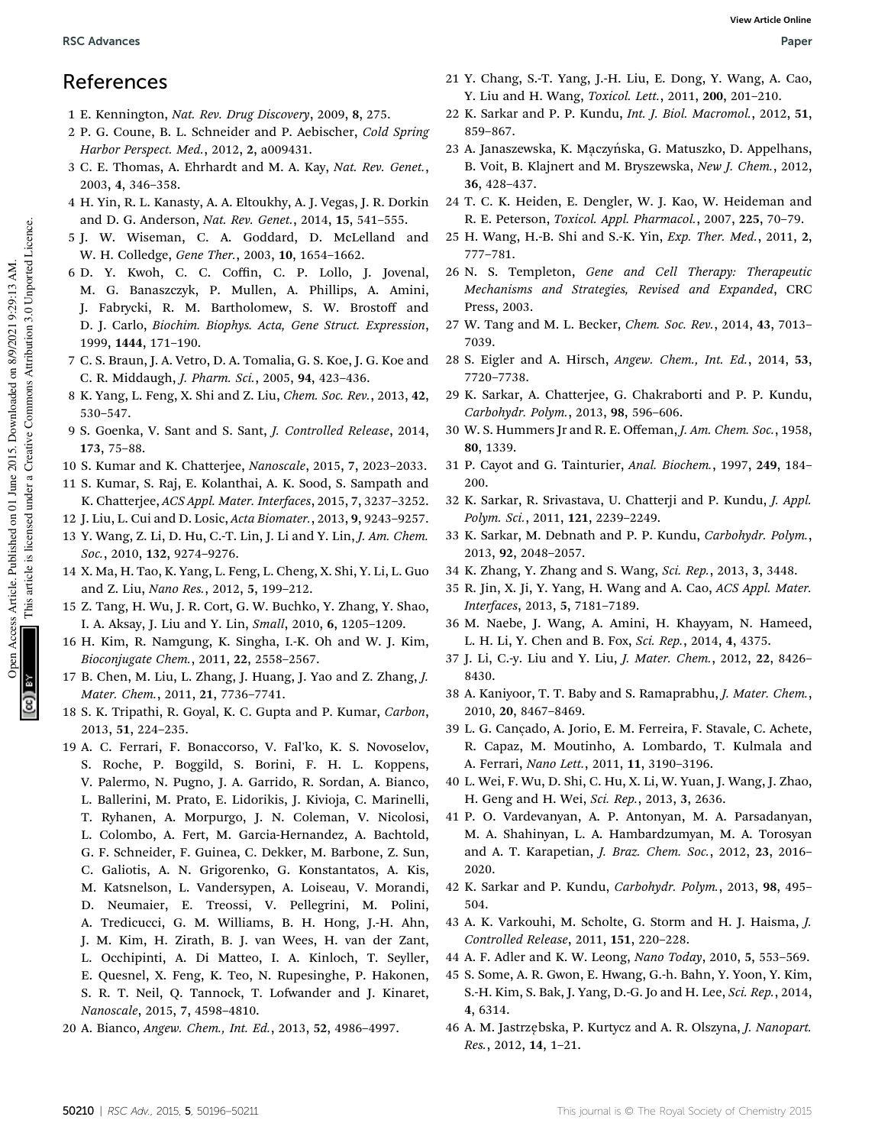# References

- 1 E. Kennington, *Nat. Rev. Drug Discovery*, 2009, 8, 275.
- 2 P. G. Coune, B. L. Schneider and P. Aebischer, *Cold Spring Harbor Perspect. Med.*, 2012, 2, a009431.
- 3 C. E. Thomas, A. Ehrhardt and M. A. Kay, *Nat. Rev. Genet.*, 2003, 4, 346–358.
- 4 H. Yin, R. L. Kanasty, A. A. Eltoukhy, A. J. Vegas, J. R. Dorkin and D. G. Anderson, *Nat. Rev. Genet.*, 2014, 15, 541–555.
- 5 J. W. Wiseman, C. A. Goddard, D. McLelland and W. H. Colledge, *Gene Ther.*, 2003, 10, 1654–1662.
- 6 D. Y. Kwoh, C. C. Coffin, C. P. Lollo, J. Jovenal, M. G. Banaszczyk, P. Mullen, A. Phillips, A. Amini, J. Fabrycki, R. M. Bartholomew, S. W. Brostoff and D. J. Carlo, *Biochim. Biophys. Acta, Gene Struct. Expression*, 1999, 1444, 171–190.
- 7 C. S. Braun, J. A. Vetro, D. A. Tomalia, G. S. Koe, J. G. Koe and C. R. Middaugh, *J. Pharm. Sci.*, 2005, 94, 423–436.
- 8 K. Yang, L. Feng, X. Shi and Z. Liu, *Chem. Soc. Rev.*, 2013, 42, 530–547.
- 9 S. Goenka, V. Sant and S. Sant, *J. Controlled Release*, 2014, 173, 75–88.
- 10 S. Kumar and K. Chatterjee, *Nanoscale*, 2015, 7, 2023–2033.
- 11 S. Kumar, S. Raj, E. Kolanthai, A. K. Sood, S. Sampath and K. Chatterjee, *ACS Appl. Mater. Interfaces*, 2015, 7, 3237–3252.
- 12 J. Liu, L. Cui and D. Losic, *Acta Biomater.*, 2013, 9, 9243–9257.
- 13 Y. Wang, Z. Li, D. Hu, C.-T. Lin, J. Li and Y. Lin, *J. Am. Chem. Soc.*, 2010, 132, 9274–9276.
- 14 X. Ma, H. Tao, K. Yang, L. Feng, L. Cheng, X. Shi, Y. Li, L. Guo and Z. Liu, *Nano Res.*, 2012, 5, 199–212.
- 15 Z. Tang, H. Wu, J. R. Cort, G. W. Buchko, Y. Zhang, Y. Shao, I. A. Aksay, J. Liu and Y. Lin, *Small*, 2010, 6, 1205–1209.
- 16 H. Kim, R. Namgung, K. Singha, I.-K. Oh and W. J. Kim, *Bioconjugate Chem.*, 2011, 22, 2558–2567.
- 17 B. Chen, M. Liu, L. Zhang, J. Huang, J. Yao and Z. Zhang, *J. Mater. Chem.*, 2011, 21, 7736–7741.
- 18 S. K. Tripathi, R. Goyal, K. C. Gupta and P. Kumar, *Carbon*, 2013, 51, 224–235.
- 19 A. C. Ferrari, F. Bonaccorso, V. Fal'ko, K. S. Novoselov, S. Roche, P. Boggild, S. Borini, F. H. L. Koppens, V. Palermo, N. Pugno, J. A. Garrido, R. Sordan, A. Bianco, L. Ballerini, M. Prato, E. Lidorikis, J. Kivioja, C. Marinelli, T. Ryhanen, A. Morpurgo, J. N. Coleman, V. Nicolosi, L. Colombo, A. Fert, M. Garcia-Hernandez, A. Bachtold, G. F. Schneider, F. Guinea, C. Dekker, M. Barbone, Z. Sun, C. Galiotis, A. N. Grigorenko, G. Konstantatos, A. Kis, M. Katsnelson, L. Vandersypen, A. Loiseau, V. Morandi, D. Neumaier, E. Treossi, V. Pellegrini, M. Polini, A. Tredicucci, G. M. Williams, B. H. Hong, J.-H. Ahn, J. M. Kim, H. Zirath, B. J. van Wees, H. van der Zant, L. Occhipinti, A. Di Matteo, I. A. Kinloch, T. Seyller, E. Quesnel, X. Feng, K. Teo, N. Rupesinghe, P. Hakonen, S. R. T. Neil, Q. Tannock, T. Lofwander and J. Kinaret, *Nanoscale*, 2015, 7, 4598–4810.
- 20 A. Bianco, *Angew. Chem., Int. Ed.*, 2013, 52, 4986–4997.
- 21 Y. Chang, S.-T. Yang, J.-H. Liu, E. Dong, Y. Wang, A. Cao, Y. Liu and H. Wang, *Toxicol. Lett.*, 2011, 200, 201–210.
- 22 K. Sarkar and P. P. Kundu, *Int. J. Biol. Macromol.*, 2012, 51, 859–867.
- 23 A. Janaszewska, K. Maczyńska, G. Matuszko, D. Appelhans, B. Voit, B. Klajnert and M. Bryszewska, *New J. Chem.*, 2012, 36, 428–437.
- 24 T. C. K. Heiden, E. Dengler, W. J. Kao, W. Heideman and R. E. Peterson, *Toxicol. Appl. Pharmacol.*, 2007, 225, 70–79.
- 25 H. Wang, H.-B. Shi and S.-K. Yin, *Exp. Ther. Med.*, 2011, 2, 777–781.
- 26 N. S. Templeton, *Gene and Cell Therapy: Therapeutic Mechanisms and Strategies, Revised and Expanded*, CRC Press, 2003.
- 27 W. Tang and M. L. Becker, *Chem. Soc. Rev.*, 2014, 43, 7013– 7039.
- 28 S. Eigler and A. Hirsch, *Angew. Chem., Int. Ed.*, 2014, 53, 7720–7738.
- 29 K. Sarkar, A. Chatterjee, G. Chakraborti and P. P. Kundu, *Carbohydr. Polym.*, 2013, 98, 596–606.
- 30 W. S. Hummers Jr and R. E. Offeman, *J. Am. Chem. Soc.*, 1958, 80, 1339.
- 31 P. Cayot and G. Tainturier, *Anal. Biochem.*, 1997, 249, 184– 200.
- 32 K. Sarkar, R. Srivastava, U. Chatterji and P. Kundu, *J. Appl. Polym. Sci.*, 2011, 121, 2239–2249.
- 33 K. Sarkar, M. Debnath and P. P. Kundu, *Carbohydr. Polym.*, 2013, 92, 2048–2057.
- 34 K. Zhang, Y. Zhang and S. Wang, *Sci. Rep.*, 2013, 3, 3448.
- 35 R. Jin, X. Ji, Y. Yang, H. Wang and A. Cao, *ACS Appl. Mater. Interfaces*, 2013, 5, 7181–7189.
- 36 M. Naebe, J. Wang, A. Amini, H. Khayyam, N. Hameed, L. H. Li, Y. Chen and B. Fox, *Sci. Rep.*, 2014, 4, 4375.
- 37 J. Li, C.-y. Liu and Y. Liu, *J. Mater. Chem.*, 2012, 22, 8426– 8430.
- 38 A. Kaniyoor, T. T. Baby and S. Ramaprabhu, *J. Mater. Chem.*, 2010, 20, 8467–8469.
- 39 L. G. Cançado, A. Jorio, E. M. Ferreira, F. Stavale, C. Achete, R. Capaz, M. Moutinho, A. Lombardo, T. Kulmala and A. Ferrari, *Nano Lett.*, 2011, 11, 3190–3196.
- 40 L. Wei, F. Wu, D. Shi, C. Hu, X. Li, W. Yuan, J. Wang, J. Zhao, H. Geng and H. Wei, *Sci. Rep.*, 2013, 3, 2636.
- 41 P. O. Vardevanyan, A. P. Antonyan, M. A. Parsadanyan, M. A. Shahinyan, L. A. Hambardzumyan, M. A. Torosyan and A. T. Karapetian, *J. Braz. Chem. Soc.*, 2012, 23, 2016– 2020.
- 42 K. Sarkar and P. Kundu, *Carbohydr. Polym.*, 2013, 98, 495– 504.
- 43 A. K. Varkouhi, M. Scholte, G. Storm and H. J. Haisma, *J. Controlled Release*, 2011, 151, 220–228.
- 44 A. F. Adler and K. W. Leong, *Nano Today*, 2010, 5, 553–569.
- 45 S. Some, A. R. Gwon, E. Hwang, G.-h. Bahn, Y. Yoon, Y. Kim, S.-H. Kim, S. Bak, J. Yang, D.-G. Jo and H. Lee, *Sci. Rep.*, 2014, 4, 6314.
- 46 A. M. Jastrze˛bska, P. Kurtycz and A. R. Olszyna, *J. Nanopart. Res.*, 2012, 14, 1–21.

RSC Advances **RSC Advances** Paper **RSC Advances** Paper **Paper Paper Paper Paper** Paper Paper Paper Paper Paper Paper Paper Paper Paper Paper Paper Paper Paper Paper Paper Paper Paper Paper Paper Paper Paper Paper Paper Pap